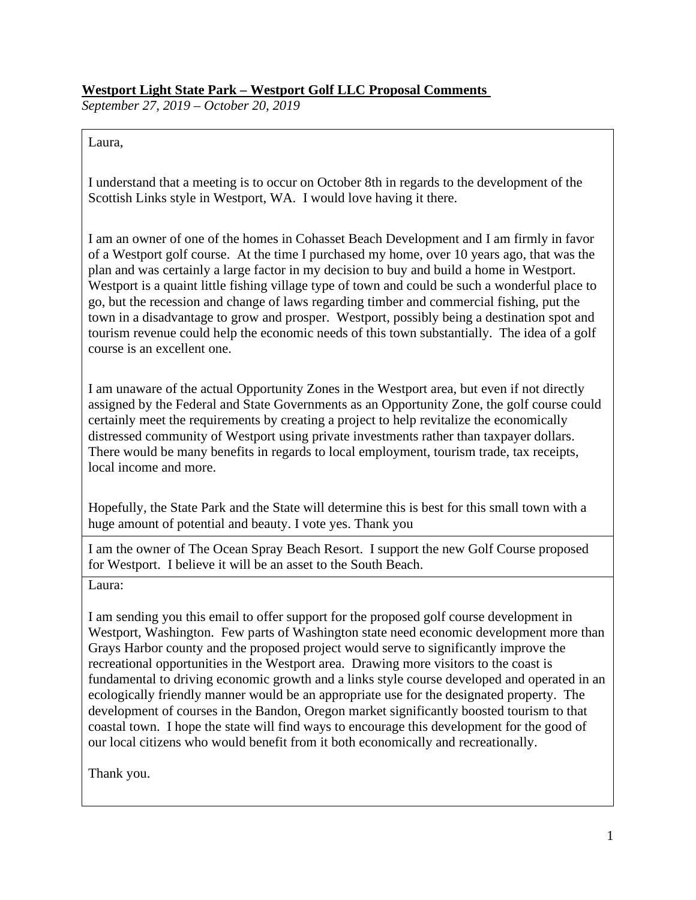## **Westport Light State Park – Westport Golf LLC Proposal Comments**

*September 27, 2019 – October 20, 2019*

Laura,

I understand that a meeting is to occur on October 8th in regards to the development of the Scottish Links style in Westport, WA. I would love having it there.

I am an owner of one of the homes in Cohasset Beach Development and I am firmly in favor of a Westport golf course. At the time I purchased my home, over 10 years ago, that was the plan and was certainly a large factor in my decision to buy and build a home in Westport. Westport is a quaint little fishing village type of town and could be such a wonderful place to go, but the recession and change of laws regarding timber and commercial fishing, put the town in a disadvantage to grow and prosper. Westport, possibly being a destination spot and tourism revenue could help the economic needs of this town substantially. The idea of a golf course is an excellent one.

I am unaware of the actual Opportunity Zones in the Westport area, but even if not directly assigned by the Federal and State Governments as an Opportunity Zone, the golf course could certainly meet the requirements by creating a project to help revitalize the economically distressed community of Westport using private investments rather than taxpayer dollars. There would be many benefits in regards to local employment, tourism trade, tax receipts, local income and more.

Hopefully, the State Park and the State will determine this is best for this small town with a huge amount of potential and beauty. I vote yes. Thank you

I am the owner of The Ocean Spray Beach Resort. I support the new Golf Course proposed for Westport. I believe it will be an asset to the South Beach.

Laura:

I am sending you this email to offer support for the proposed golf course development in Westport, Washington. Few parts of Washington state need economic development more than Grays Harbor county and the proposed project would serve to significantly improve the recreational opportunities in the Westport area. Drawing more visitors to the coast is fundamental to driving economic growth and a links style course developed and operated in an ecologically friendly manner would be an appropriate use for the designated property. The development of courses in the Bandon, Oregon market significantly boosted tourism to that coastal town. I hope the state will find ways to encourage this development for the good of our local citizens who would benefit from it both economically and recreationally.

Thank you.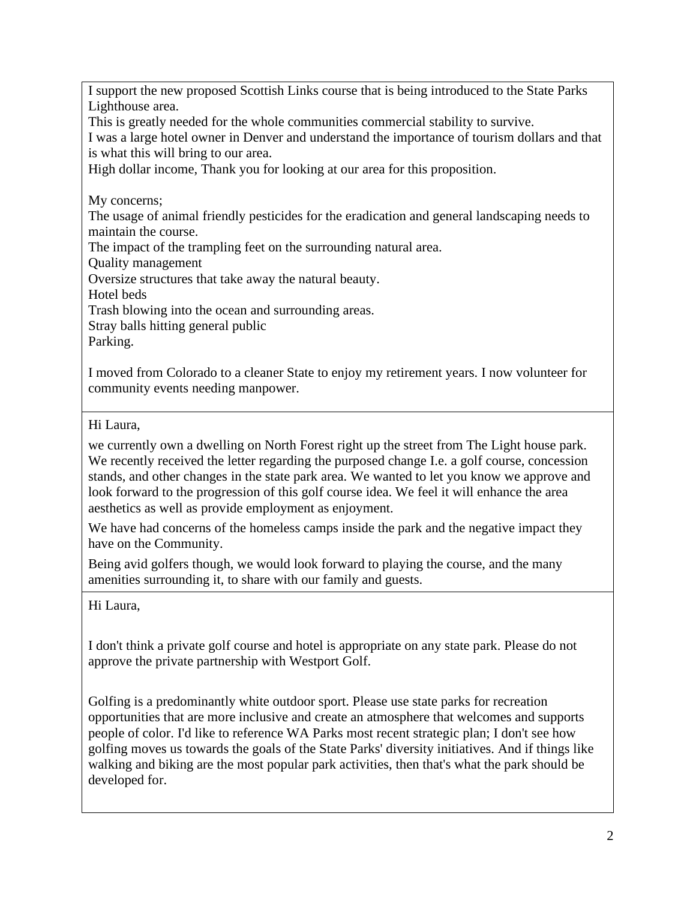I support the new proposed Scottish Links course that is being introduced to the State Parks Lighthouse area.

This is greatly needed for the whole communities commercial stability to survive.

I was a large hotel owner in Denver and understand the importance of tourism dollars and that is what this will bring to our area.

High dollar income, Thank you for looking at our area for this proposition.

My concerns;

The usage of animal friendly pesticides for the eradication and general landscaping needs to maintain the course.

The impact of the trampling feet on the surrounding natural area.

Quality management

Oversize structures that take away the natural beauty.

Hotel beds

Trash blowing into the ocean and surrounding areas.

Stray balls hitting general public

Parking.

I moved from Colorado to a cleaner State to enjoy my retirement years. I now volunteer for community events needing manpower.

Hi Laura,

we currently own a dwelling on North Forest right up the street from The Light house park. We recently received the letter regarding the purposed change I.e. a golf course, concession stands, and other changes in the state park area. We wanted to let you know we approve and look forward to the progression of this golf course idea. We feel it will enhance the area aesthetics as well as provide employment as enjoyment.

We have had concerns of the homeless camps inside the park and the negative impact they have on the Community.

Being avid golfers though, we would look forward to playing the course, and the many amenities surrounding it, to share with our family and guests.

Hi Laura,

I don't think a private golf course and hotel is appropriate on any state park. Please do not approve the private partnership with Westport Golf.

Golfing is a predominantly white outdoor sport. Please use state parks for recreation opportunities that are more inclusive and create an atmosphere that welcomes and supports people of color. I'd like to reference WA Parks most recent strategic plan; I don't see how golfing moves us towards the goals of the State Parks' diversity initiatives. And if things like walking and biking are the most popular park activities, then that's what the park should be developed for.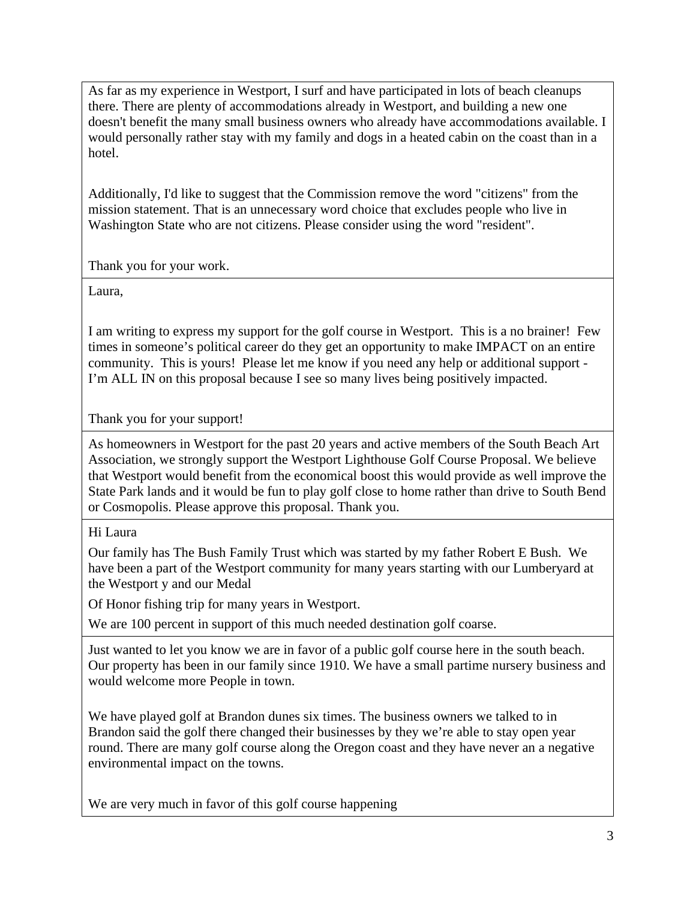As far as my experience in Westport, I surf and have participated in lots of beach cleanups there. There are plenty of accommodations already in Westport, and building a new one doesn't benefit the many small business owners who already have accommodations available. I would personally rather stay with my family and dogs in a heated cabin on the coast than in a hotel.

Additionally, I'd like to suggest that the Commission remove the word "citizens" from the mission statement. That is an unnecessary word choice that excludes people who live in Washington State who are not citizens. Please consider using the word "resident".

Thank you for your work.

Laura,

I am writing to express my support for the golf course in Westport. This is a no brainer! Few times in someone's political career do they get an opportunity to make IMPACT on an entire community. This is yours! Please let me know if you need any help or additional support - I'm ALL IN on this proposal because I see so many lives being positively impacted.

Thank you for your support!

As homeowners in Westport for the past 20 years and active members of the South Beach Art Association, we strongly support the Westport Lighthouse Golf Course Proposal. We believe that Westport would benefit from the economical boost this would provide as well improve the State Park lands and it would be fun to play golf close to home rather than drive to South Bend or Cosmopolis. Please approve this proposal. Thank you.

## Hi Laura

Our family has The Bush Family Trust which was started by my father Robert E Bush. We have been a part of the Westport community for many years starting with our Lumberyard at the Westport y and our Medal

Of Honor fishing trip for many years in Westport.

We are 100 percent in support of this much needed destination golf coarse.

Just wanted to let you know we are in favor of a public golf course here in the south beach. Our property has been in our family since 1910. We have a small partime nursery business and would welcome more People in town.

We have played golf at Brandon dunes six times. The business owners we talked to in Brandon said the golf there changed their businesses by they we're able to stay open year round. There are many golf course along the Oregon coast and they have never an a negative environmental impact on the towns.

We are very much in favor of this golf course happening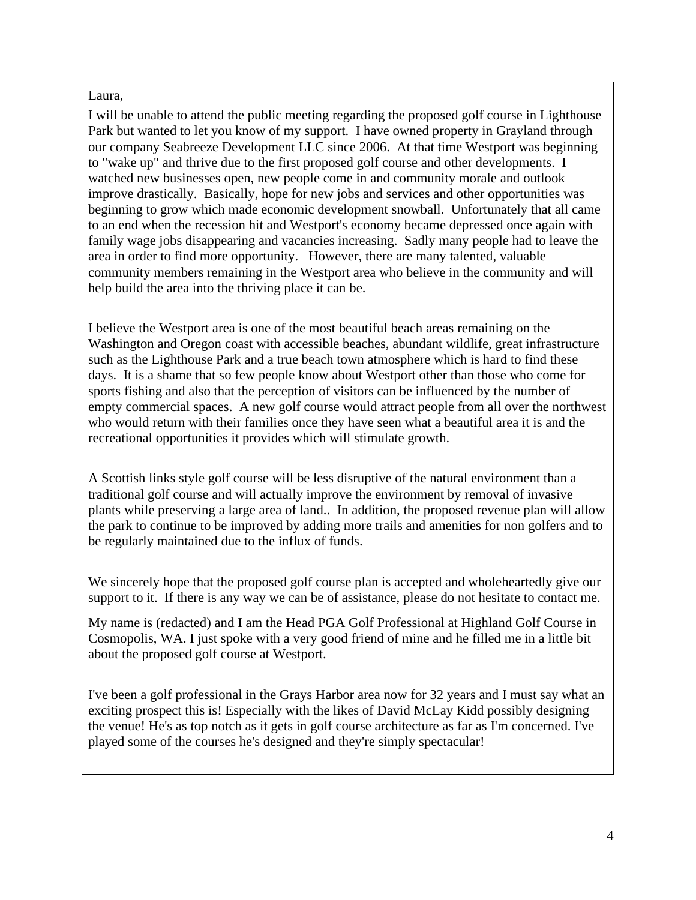## Laura,

I will be unable to attend the public meeting regarding the proposed golf course in Lighthouse Park but wanted to let you know of my support. I have owned property in Grayland through our company Seabreeze Development LLC since 2006. At that time Westport was beginning to "wake up" and thrive due to the first proposed golf course and other developments. I watched new businesses open, new people come in and community morale and outlook improve drastically. Basically, hope for new jobs and services and other opportunities was beginning to grow which made economic development snowball. Unfortunately that all came to an end when the recession hit and Westport's economy became depressed once again with family wage jobs disappearing and vacancies increasing. Sadly many people had to leave the area in order to find more opportunity. However, there are many talented, valuable community members remaining in the Westport area who believe in the community and will help build the area into the thriving place it can be.

I believe the Westport area is one of the most beautiful beach areas remaining on the Washington and Oregon coast with accessible beaches, abundant wildlife, great infrastructure such as the Lighthouse Park and a true beach town atmosphere which is hard to find these days. It is a shame that so few people know about Westport other than those who come for sports fishing and also that the perception of visitors can be influenced by the number of empty commercial spaces. A new golf course would attract people from all over the northwest who would return with their families once they have seen what a beautiful area it is and the recreational opportunities it provides which will stimulate growth.

A Scottish links style golf course will be less disruptive of the natural environment than a traditional golf course and will actually improve the environment by removal of invasive plants while preserving a large area of land.. In addition, the proposed revenue plan will allow the park to continue to be improved by adding more trails and amenities for non golfers and to be regularly maintained due to the influx of funds.

We sincerely hope that the proposed golf course plan is accepted and wholeheartedly give our support to it. If there is any way we can be of assistance, please do not hesitate to contact me.

My name is (redacted) and I am the Head PGA Golf Professional at Highland Golf Course in Cosmopolis, WA. I just spoke with a very good friend of mine and he filled me in a little bit about the proposed golf course at Westport.

I've been a golf professional in the Grays Harbor area now for 32 years and I must say what an exciting prospect this is! Especially with the likes of David McLay Kidd possibly designing the venue! He's as top notch as it gets in golf course architecture as far as I'm concerned. I've played some of the courses he's designed and they're simply spectacular!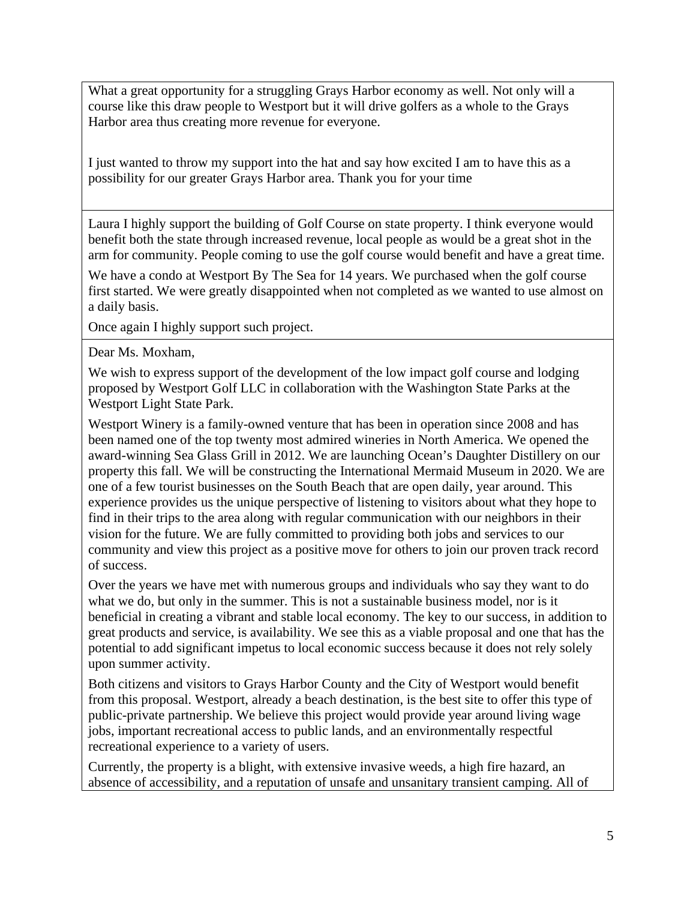What a great opportunity for a struggling Grays Harbor economy as well. Not only will a course like this draw people to Westport but it will drive golfers as a whole to the Grays Harbor area thus creating more revenue for everyone.

I just wanted to throw my support into the hat and say how excited I am to have this as a possibility for our greater Grays Harbor area. Thank you for your time

Laura I highly support the building of Golf Course on state property. I think everyone would benefit both the state through increased revenue, local people as would be a great shot in the arm for community. People coming to use the golf course would benefit and have a great time.

We have a condo at Westport By The Sea for 14 years. We purchased when the golf course first started. We were greatly disappointed when not completed as we wanted to use almost on a daily basis.

Once again I highly support such project.

Dear Ms. Moxham,

We wish to express support of the development of the low impact golf course and lodging proposed by Westport Golf LLC in collaboration with the Washington State Parks at the Westport Light State Park.

Westport Winery is a family-owned venture that has been in operation since 2008 and has been named one of the top twenty most admired wineries in North America. We opened the award-winning Sea Glass Grill in 2012. We are launching Ocean's Daughter Distillery on our property this fall. We will be constructing the International Mermaid Museum in 2020. We are one of a few tourist businesses on the South Beach that are open daily, year around. This experience provides us the unique perspective of listening to visitors about what they hope to find in their trips to the area along with regular communication with our neighbors in their vision for the future. We are fully committed to providing both jobs and services to our community and view this project as a positive move for others to join our proven track record of success.

Over the years we have met with numerous groups and individuals who say they want to do what we do, but only in the summer. This is not a sustainable business model, nor is it beneficial in creating a vibrant and stable local economy. The key to our success, in addition to great products and service, is availability. We see this as a viable proposal and one that has the potential to add significant impetus to local economic success because it does not rely solely upon summer activity.

Both citizens and visitors to Grays Harbor County and the City of Westport would benefit from this proposal. Westport, already a beach destination, is the best site to offer this type of public-private partnership. We believe this project would provide year around living wage jobs, important recreational access to public lands, and an environmentally respectful recreational experience to a variety of users.

Currently, the property is a blight, with extensive invasive weeds, a high fire hazard, an absence of accessibility, and a reputation of unsafe and unsanitary transient camping. All of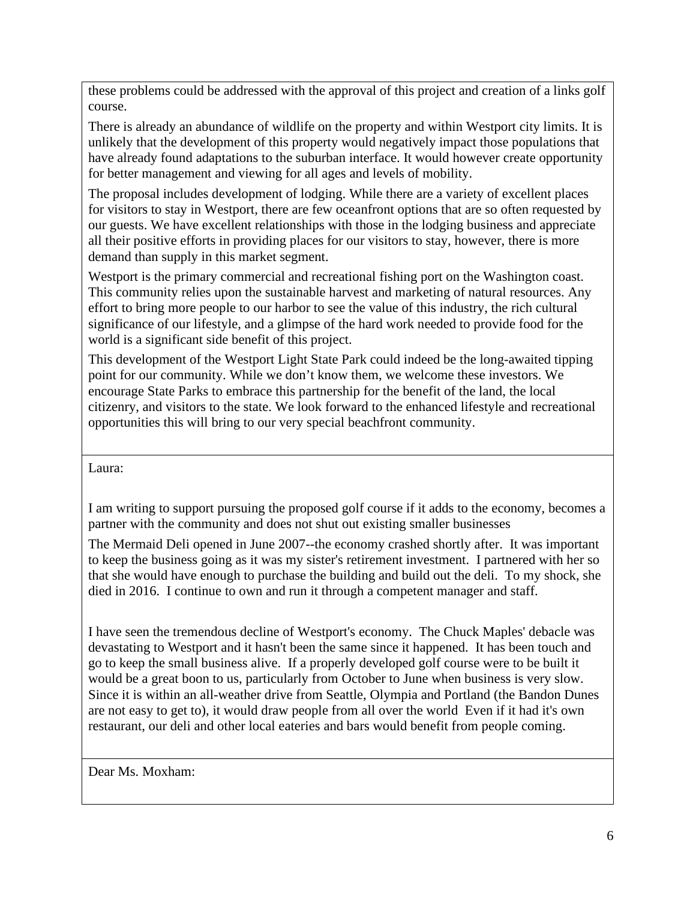these problems could be addressed with the approval of this project and creation of a links golf course.

There is already an abundance of wildlife on the property and within Westport city limits. It is unlikely that the development of this property would negatively impact those populations that have already found adaptations to the suburban interface. It would however create opportunity for better management and viewing for all ages and levels of mobility.

The proposal includes development of lodging. While there are a variety of excellent places for visitors to stay in Westport, there are few oceanfront options that are so often requested by our guests. We have excellent relationships with those in the lodging business and appreciate all their positive efforts in providing places for our visitors to stay, however, there is more demand than supply in this market segment.

Westport is the primary commercial and recreational fishing port on the Washington coast. This community relies upon the sustainable harvest and marketing of natural resources. Any effort to bring more people to our harbor to see the value of this industry, the rich cultural significance of our lifestyle, and a glimpse of the hard work needed to provide food for the world is a significant side benefit of this project.

This development of the Westport Light State Park could indeed be the long-awaited tipping point for our community. While we don't know them, we welcome these investors. We encourage State Parks to embrace this partnership for the benefit of the land, the local citizenry, and visitors to the state. We look forward to the enhanced lifestyle and recreational opportunities this will bring to our very special beachfront community.

Laura:

I am writing to support pursuing the proposed golf course if it adds to the economy, becomes a partner with the community and does not shut out existing smaller businesses

The Mermaid Deli opened in June 2007--the economy crashed shortly after. It was important to keep the business going as it was my sister's retirement investment. I partnered with her so that she would have enough to purchase the building and build out the deli. To my shock, she died in 2016. I continue to own and run it through a competent manager and staff.

I have seen the tremendous decline of Westport's economy. The Chuck Maples' debacle was devastating to Westport and it hasn't been the same since it happened. It has been touch and go to keep the small business alive. If a properly developed golf course were to be built it would be a great boon to us, particularly from October to June when business is very slow. Since it is within an all-weather drive from Seattle, Olympia and Portland (the Bandon Dunes are not easy to get to), it would draw people from all over the world Even if it had it's own restaurant, our deli and other local eateries and bars would benefit from people coming.

Dear Ms. Moxham: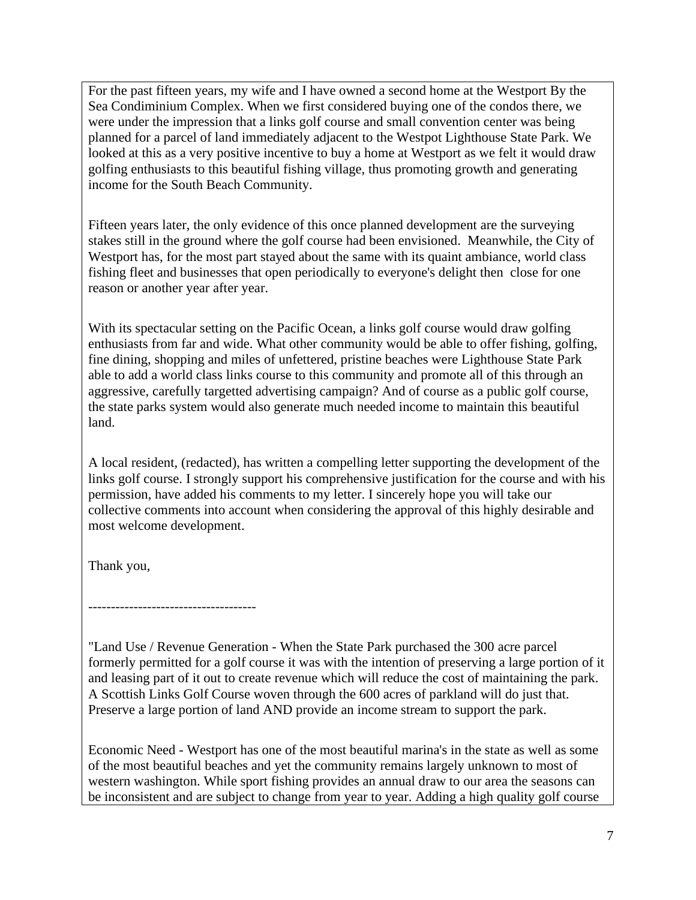For the past fifteen years, my wife and I have owned a second home at the Westport By the Sea Condiminium Complex. When we first considered buying one of the condos there, we were under the impression that a links golf course and small convention center was being planned for a parcel of land immediately adjacent to the Westpot Lighthouse State Park. We looked at this as a very positive incentive to buy a home at Westport as we felt it would draw golfing enthusiasts to this beautiful fishing village, thus promoting growth and generating income for the South Beach Community.

Fifteen years later, the only evidence of this once planned development are the surveying stakes still in the ground where the golf course had been envisioned. Meanwhile, the City of Westport has, for the most part stayed about the same with its quaint ambiance, world class fishing fleet and businesses that open periodically to everyone's delight then close for one reason or another year after year.

With its spectacular setting on the Pacific Ocean, a links golf course would draw golfing enthusiasts from far and wide. What other community would be able to offer fishing, golfing, fine dining, shopping and miles of unfettered, pristine beaches were Lighthouse State Park able to add a world class links course to this community and promote all of this through an aggressive, carefully targetted advertising campaign? And of course as a public golf course, the state parks system would also generate much needed income to maintain this beautiful land.

A local resident, (redacted), has written a compelling letter supporting the development of the links golf course. I strongly support his comprehensive justification for the course and with his permission, have added his comments to my letter. I sincerely hope you will take our collective comments into account when considering the approval of this highly desirable and most welcome development.

Thank you,

-------------------------------------

"Land Use / Revenue Generation - When the State Park purchased the 300 acre parcel formerly permitted for a golf course it was with the intention of preserving a large portion of it and leasing part of it out to create revenue which will reduce the cost of maintaining the park. A Scottish Links Golf Course woven through the 600 acres of parkland will do just that. Preserve a large portion of land AND provide an income stream to support the park.

Economic Need - Westport has one of the most beautiful marina's in the state as well as some of the most beautiful beaches and yet the community remains largely unknown to most of western washington. While sport fishing provides an annual draw to our area the seasons can be inconsistent and are subject to change from year to year. Adding a high quality golf course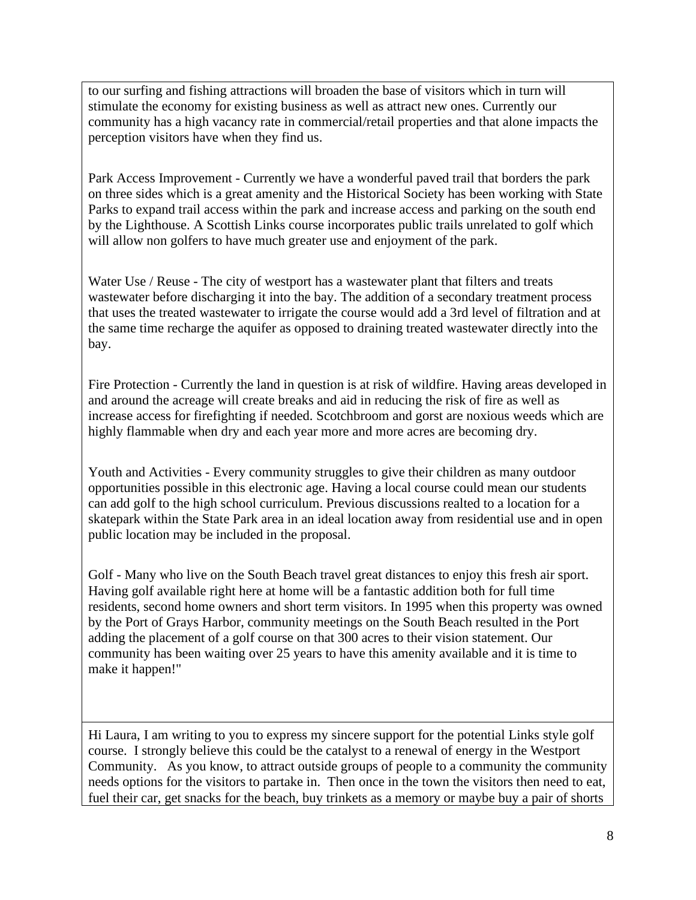to our surfing and fishing attractions will broaden the base of visitors which in turn will stimulate the economy for existing business as well as attract new ones. Currently our community has a high vacancy rate in commercial/retail properties and that alone impacts the perception visitors have when they find us.

Park Access Improvement - Currently we have a wonderful paved trail that borders the park on three sides which is a great amenity and the Historical Society has been working with State Parks to expand trail access within the park and increase access and parking on the south end by the Lighthouse. A Scottish Links course incorporates public trails unrelated to golf which will allow non golfers to have much greater use and enjoyment of the park.

Water Use / Reuse - The city of westport has a wastewater plant that filters and treats wastewater before discharging it into the bay. The addition of a secondary treatment process that uses the treated wastewater to irrigate the course would add a 3rd level of filtration and at the same time recharge the aquifer as opposed to draining treated wastewater directly into the bay.

Fire Protection - Currently the land in question is at risk of wildfire. Having areas developed in and around the acreage will create breaks and aid in reducing the risk of fire as well as increase access for firefighting if needed. Scotchbroom and gorst are noxious weeds which are highly flammable when dry and each year more and more acres are becoming dry.

Youth and Activities - Every community struggles to give their children as many outdoor opportunities possible in this electronic age. Having a local course could mean our students can add golf to the high school curriculum. Previous discussions realted to a location for a skatepark within the State Park area in an ideal location away from residential use and in open public location may be included in the proposal.

Golf - Many who live on the South Beach travel great distances to enjoy this fresh air sport. Having golf available right here at home will be a fantastic addition both for full time residents, second home owners and short term visitors. In 1995 when this property was owned by the Port of Grays Harbor, community meetings on the South Beach resulted in the Port adding the placement of a golf course on that 300 acres to their vision statement. Our community has been waiting over 25 years to have this amenity available and it is time to make it happen!"

Hi Laura, I am writing to you to express my sincere support for the potential Links style golf course. I strongly believe this could be the catalyst to a renewal of energy in the Westport Community. As you know, to attract outside groups of people to a community the community needs options for the visitors to partake in. Then once in the town the visitors then need to eat, fuel their car, get snacks for the beach, buy trinkets as a memory or maybe buy a pair of shorts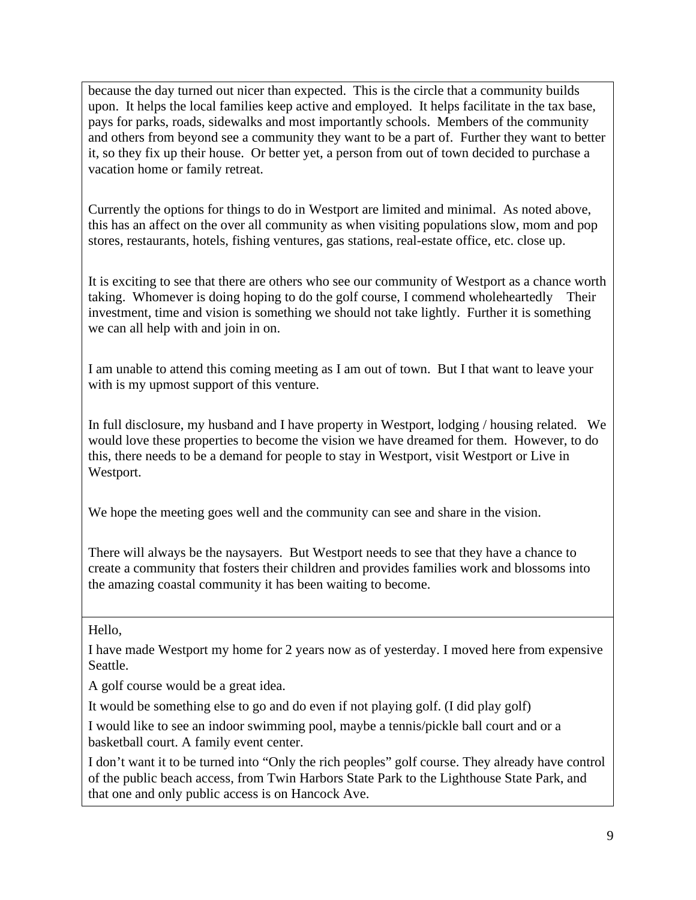because the day turned out nicer than expected. This is the circle that a community builds upon. It helps the local families keep active and employed. It helps facilitate in the tax base, pays for parks, roads, sidewalks and most importantly schools. Members of the community and others from beyond see a community they want to be a part of. Further they want to better it, so they fix up their house. Or better yet, a person from out of town decided to purchase a vacation home or family retreat.

Currently the options for things to do in Westport are limited and minimal. As noted above, this has an affect on the over all community as when visiting populations slow, mom and pop stores, restaurants, hotels, fishing ventures, gas stations, real-estate office, etc. close up.

It is exciting to see that there are others who see our community of Westport as a chance worth taking. Whomever is doing hoping to do the golf course, I commend wholeheartedly Their investment, time and vision is something we should not take lightly. Further it is something we can all help with and join in on.

I am unable to attend this coming meeting as I am out of town. But I that want to leave your with is my upmost support of this venture.

In full disclosure, my husband and I have property in Westport, lodging / housing related. We would love these properties to become the vision we have dreamed for them. However, to do this, there needs to be a demand for people to stay in Westport, visit Westport or Live in Westport.

We hope the meeting goes well and the community can see and share in the vision.

There will always be the naysayers. But Westport needs to see that they have a chance to create a community that fosters their children and provides families work and blossoms into the amazing coastal community it has been waiting to become.

Hello,

I have made Westport my home for 2 years now as of yesterday. I moved here from expensive Seattle.

A golf course would be a great idea.

It would be something else to go and do even if not playing golf. (I did play golf)

I would like to see an indoor swimming pool, maybe a tennis/pickle ball court and or a basketball court. A family event center.

I don't want it to be turned into "Only the rich peoples" golf course. They already have control of the public beach access, from Twin Harbors State Park to the Lighthouse State Park, and that one and only public access is on Hancock Ave.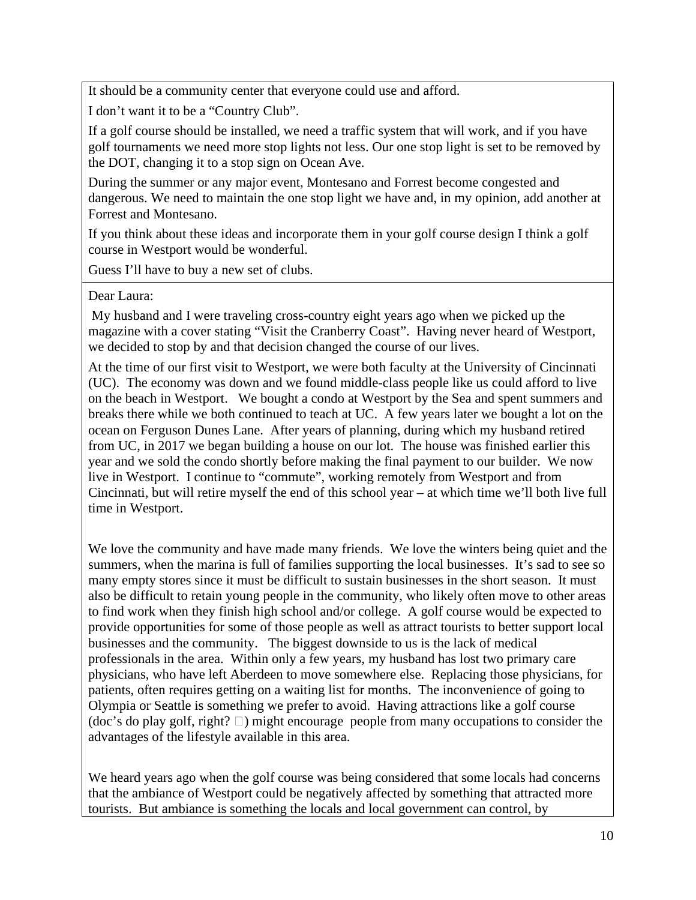It should be a community center that everyone could use and afford.

I don't want it to be a "Country Club".

If a golf course should be installed, we need a traffic system that will work, and if you have golf tournaments we need more stop lights not less. Our one stop light is set to be removed by the DOT, changing it to a stop sign on Ocean Ave.

During the summer or any major event, Montesano and Forrest become congested and dangerous. We need to maintain the one stop light we have and, in my opinion, add another at Forrest and Montesano.

If you think about these ideas and incorporate them in your golf course design I think a golf course in Westport would be wonderful.

Guess I'll have to buy a new set of clubs.

#### Dear Laura:

My husband and I were traveling cross-country eight years ago when we picked up the magazine with a cover stating "Visit the Cranberry Coast". Having never heard of Westport, we decided to stop by and that decision changed the course of our lives.

At the time of our first visit to Westport, we were both faculty at the University of Cincinnati (UC). The economy was down and we found middle-class people like us could afford to live on the beach in Westport. We bought a condo at Westport by the Sea and spent summers and breaks there while we both continued to teach at UC. A few years later we bought a lot on the ocean on Ferguson Dunes Lane. After years of planning, during which my husband retired from UC, in 2017 we began building a house on our lot. The house was finished earlier this year and we sold the condo shortly before making the final payment to our builder. We now live in Westport. I continue to "commute", working remotely from Westport and from Cincinnati, but will retire myself the end of this school year – at which time we'll both live full time in Westport.

We love the community and have made many friends. We love the winters being quiet and the summers, when the marina is full of families supporting the local businesses. It's sad to see so many empty stores since it must be difficult to sustain businesses in the short season. It must also be difficult to retain young people in the community, who likely often move to other areas to find work when they finish high school and/or college. A golf course would be expected to provide opportunities for some of those people as well as attract tourists to better support local businesses and the community. The biggest downside to us is the lack of medical professionals in the area. Within only a few years, my husband has lost two primary care physicians, who have left Aberdeen to move somewhere else. Replacing those physicians, for patients, often requires getting on a waiting list for months. The inconvenience of going to Olympia or Seattle is something we prefer to avoid. Having attractions like a golf course (doc's do play golf, right?  $\Box$ ) might encourage people from many occupations to consider the advantages of the lifestyle available in this area.

We heard years ago when the golf course was being considered that some locals had concerns that the ambiance of Westport could be negatively affected by something that attracted more tourists. But ambiance is something the locals and local government can control, by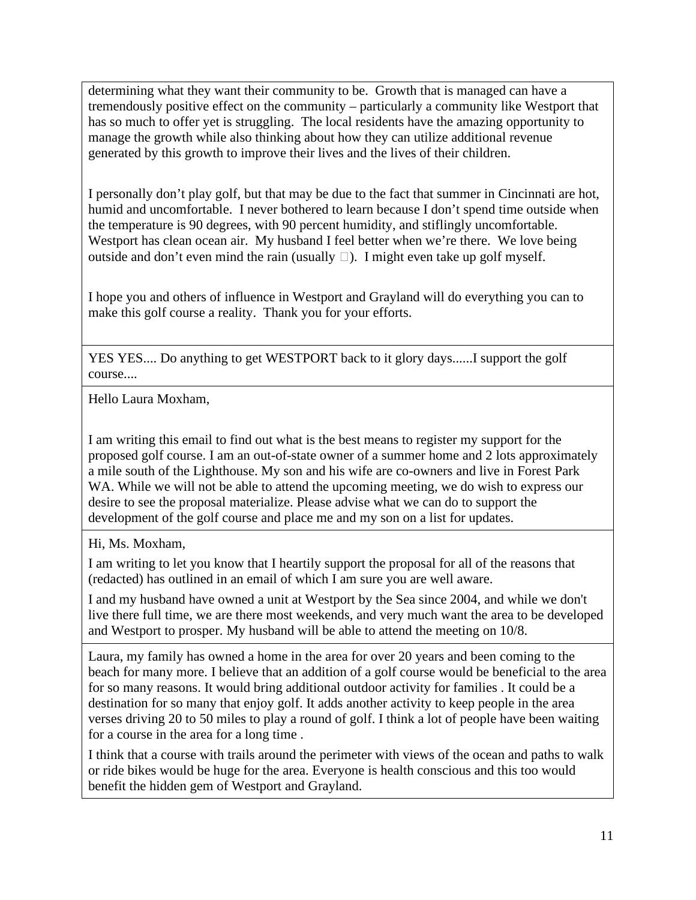determining what they want their community to be. Growth that is managed can have a tremendously positive effect on the community – particularly a community like Westport that has so much to offer yet is struggling. The local residents have the amazing opportunity to manage the growth while also thinking about how they can utilize additional revenue generated by this growth to improve their lives and the lives of their children.

I personally don't play golf, but that may be due to the fact that summer in Cincinnati are hot, humid and uncomfortable. I never bothered to learn because I don't spend time outside when the temperature is 90 degrees, with 90 percent humidity, and stiflingly uncomfortable. Westport has clean ocean air. My husband I feel better when we're there. We love being outside and don't even mind the rain (usually  $\Box$ ). I might even take up golf myself.

I hope you and others of influence in Westport and Grayland will do everything you can to make this golf course a reality. Thank you for your efforts.

YES YES.... Do anything to get WESTPORT back to it glory days......I support the golf course....

Hello Laura Moxham,

I am writing this email to find out what is the best means to register my support for the proposed golf course. I am an out-of-state owner of a summer home and 2 lots approximately a mile south of the Lighthouse. My son and his wife are co-owners and live in Forest Park WA. While we will not be able to attend the upcoming meeting, we do wish to express our desire to see the proposal materialize. Please advise what we can do to support the development of the golf course and place me and my son on a list for updates.

Hi, Ms. Moxham,

I am writing to let you know that I heartily support the proposal for all of the reasons that (redacted) has outlined in an email of which I am sure you are well aware.

I and my husband have owned a unit at Westport by the Sea since 2004, and while we don't live there full time, we are there most weekends, and very much want the area to be developed and Westport to prosper. My husband will be able to attend the meeting on 10/8.

Laura, my family has owned a home in the area for over 20 years and been coming to the beach for many more. I believe that an addition of a golf course would be beneficial to the area for so many reasons. It would bring additional outdoor activity for families . It could be a destination for so many that enjoy golf. It adds another activity to keep people in the area verses driving 20 to 50 miles to play a round of golf. I think a lot of people have been waiting for a course in the area for a long time .

I think that a course with trails around the perimeter with views of the ocean and paths to walk or ride bikes would be huge for the area. Everyone is health conscious and this too would benefit the hidden gem of Westport and Grayland.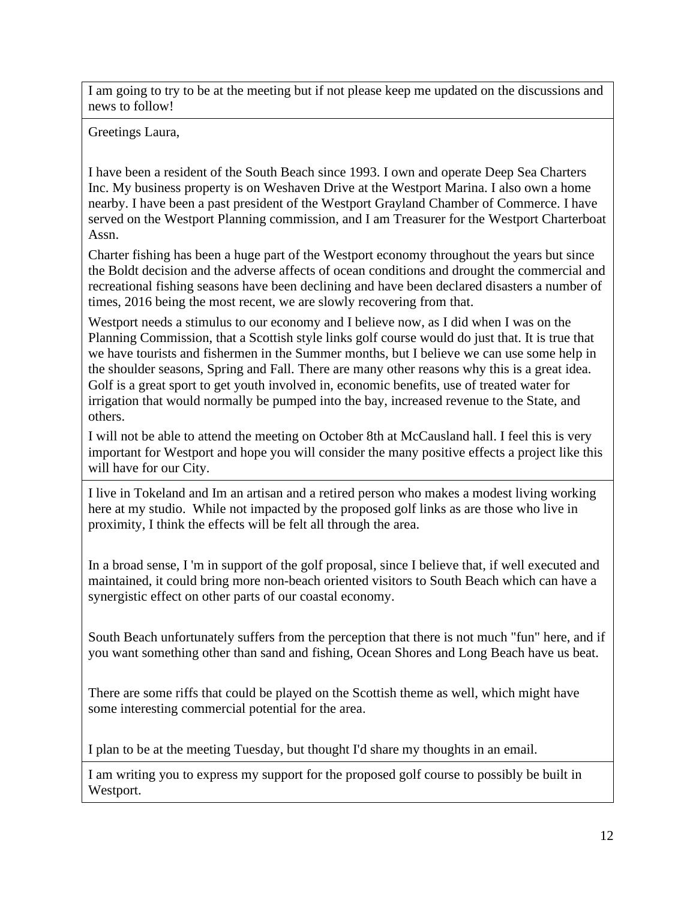I am going to try to be at the meeting but if not please keep me updated on the discussions and news to follow!

# Greetings Laura,

I have been a resident of the South Beach since 1993. I own and operate Deep Sea Charters Inc. My business property is on Weshaven Drive at the Westport Marina. I also own a home nearby. I have been a past president of the Westport Grayland Chamber of Commerce. I have served on the Westport Planning commission, and I am Treasurer for the Westport Charterboat Assn.

Charter fishing has been a huge part of the Westport economy throughout the years but since the Boldt decision and the adverse affects of ocean conditions and drought the commercial and recreational fishing seasons have been declining and have been declared disasters a number of times, 2016 being the most recent, we are slowly recovering from that.

Westport needs a stimulus to our economy and I believe now, as I did when I was on the Planning Commission, that a Scottish style links golf course would do just that. It is true that we have tourists and fishermen in the Summer months, but I believe we can use some help in the shoulder seasons, Spring and Fall. There are many other reasons why this is a great idea. Golf is a great sport to get youth involved in, economic benefits, use of treated water for irrigation that would normally be pumped into the bay, increased revenue to the State, and others.

I will not be able to attend the meeting on October 8th at McCausland hall. I feel this is very important for Westport and hope you will consider the many positive effects a project like this will have for our City.

I live in Tokeland and Im an artisan and a retired person who makes a modest living working here at my studio. While not impacted by the proposed golf links as are those who live in proximity, I think the effects will be felt all through the area.

In a broad sense, I 'm in support of the golf proposal, since I believe that, if well executed and maintained, it could bring more non-beach oriented visitors to South Beach which can have a synergistic effect on other parts of our coastal economy.

South Beach unfortunately suffers from the perception that there is not much "fun" here, and if you want something other than sand and fishing, Ocean Shores and Long Beach have us beat.

There are some riffs that could be played on the Scottish theme as well, which might have some interesting commercial potential for the area.

I plan to be at the meeting Tuesday, but thought I'd share my thoughts in an email.

I am writing you to express my support for the proposed golf course to possibly be built in Westport.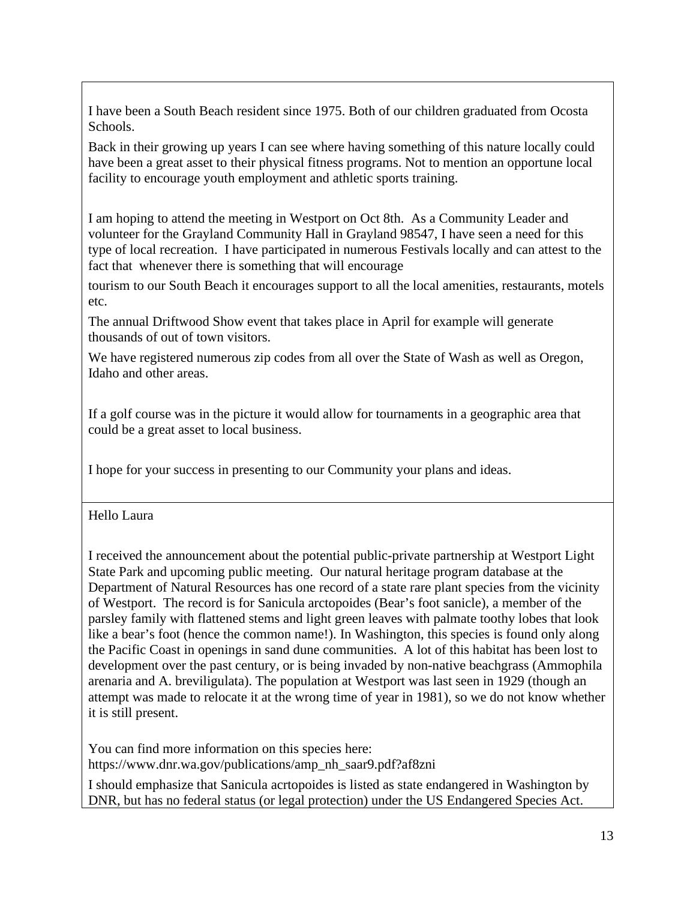I have been a South Beach resident since 1975. Both of our children graduated from Ocosta Schools.

Back in their growing up years I can see where having something of this nature locally could have been a great asset to their physical fitness programs. Not to mention an opportune local facility to encourage youth employment and athletic sports training.

I am hoping to attend the meeting in Westport on Oct 8th. As a Community Leader and volunteer for the Grayland Community Hall in Grayland 98547, I have seen a need for this type of local recreation. I have participated in numerous Festivals locally and can attest to the fact that whenever there is something that will encourage

tourism to our South Beach it encourages support to all the local amenities, restaurants, motels etc.

The annual Driftwood Show event that takes place in April for example will generate thousands of out of town visitors.

We have registered numerous zip codes from all over the State of Wash as well as Oregon, Idaho and other areas.

If a golf course was in the picture it would allow for tournaments in a geographic area that could be a great asset to local business.

I hope for your success in presenting to our Community your plans and ideas.

Hello Laura

I received the announcement about the potential public-private partnership at Westport Light State Park and upcoming public meeting. Our natural heritage program database at the Department of Natural Resources has one record of a state rare plant species from the vicinity of Westport. The record is for Sanicula arctopoides (Bear's foot sanicle), a member of the parsley family with flattened stems and light green leaves with palmate toothy lobes that look like a bear's foot (hence the common name!). In Washington, this species is found only along the Pacific Coast in openings in sand dune communities. A lot of this habitat has been lost to development over the past century, or is being invaded by non-native beachgrass (Ammophila arenaria and A. breviligulata). The population at Westport was last seen in 1929 (though an attempt was made to relocate it at the wrong time of year in 1981), so we do not know whether it is still present.

You can find more information on this species here: https://www.dnr.wa.gov/publications/amp\_nh\_saar9.pdf?af8zni

I should emphasize that Sanicula acrtopoides is listed as state endangered in Washington by DNR, but has no federal status (or legal protection) under the US Endangered Species Act.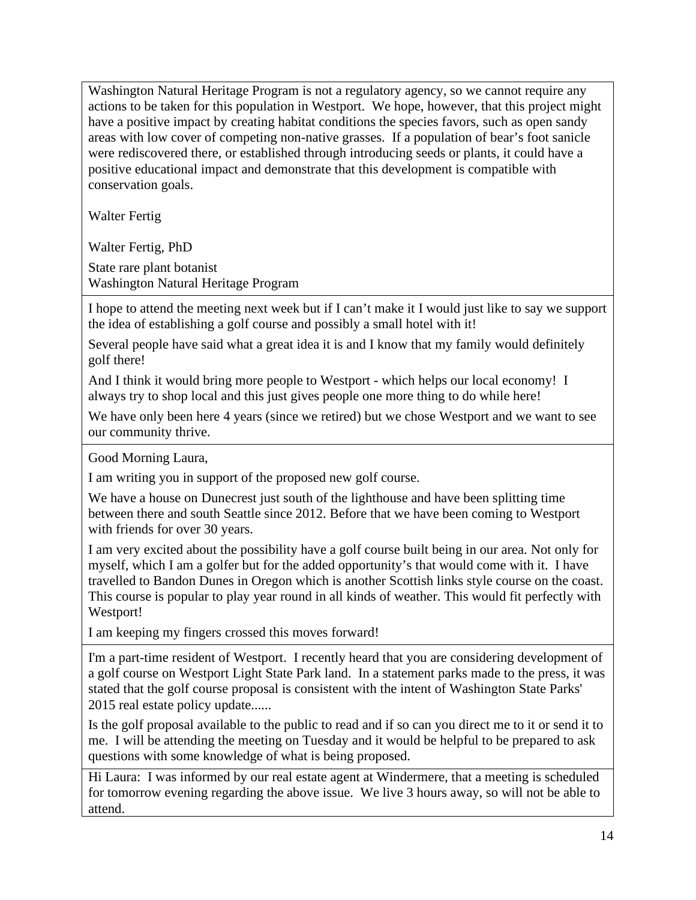Washington Natural Heritage Program is not a regulatory agency, so we cannot require any actions to be taken for this population in Westport. We hope, however, that this project might have a positive impact by creating habitat conditions the species favors, such as open sandy areas with low cover of competing non-native grasses. If a population of bear's foot sanicle were rediscovered there, or established through introducing seeds or plants, it could have a positive educational impact and demonstrate that this development is compatible with conservation goals.

Walter Fertig

Walter Fertig, PhD

State rare plant botanist Washington Natural Heritage Program

I hope to attend the meeting next week but if I can't make it I would just like to say we support the idea of establishing a golf course and possibly a small hotel with it!

Several people have said what a great idea it is and I know that my family would definitely golf there!

And I think it would bring more people to Westport - which helps our local economy! I always try to shop local and this just gives people one more thing to do while here!

We have only been here 4 years (since we retired) but we chose Westport and we want to see our community thrive.

Good Morning Laura,

I am writing you in support of the proposed new golf course.

We have a house on Dunecrest just south of the lighthouse and have been splitting time between there and south Seattle since 2012. Before that we have been coming to Westport with friends for over 30 years.

I am very excited about the possibility have a golf course built being in our area. Not only for myself, which I am a golfer but for the added opportunity's that would come with it. I have travelled to Bandon Dunes in Oregon which is another Scottish links style course on the coast. This course is popular to play year round in all kinds of weather. This would fit perfectly with Westport!

I am keeping my fingers crossed this moves forward!

I'm a part-time resident of Westport. I recently heard that you are considering development of a golf course on Westport Light State Park land. In a statement parks made to the press, it was stated that the golf course proposal is consistent with the intent of Washington State Parks' 2015 real estate policy update......

Is the golf proposal available to the public to read and if so can you direct me to it or send it to me. I will be attending the meeting on Tuesday and it would be helpful to be prepared to ask questions with some knowledge of what is being proposed.

Hi Laura: I was informed by our real estate agent at Windermere, that a meeting is scheduled for tomorrow evening regarding the above issue. We live 3 hours away, so will not be able to attend.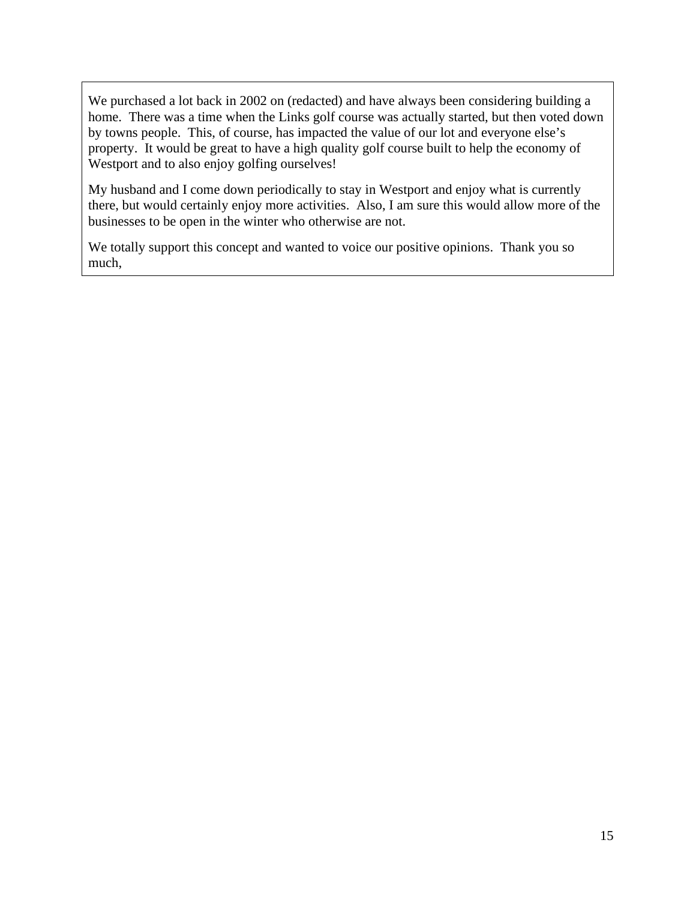We purchased a lot back in 2002 on (redacted) and have always been considering building a home. There was a time when the Links golf course was actually started, but then voted down by towns people. This, of course, has impacted the value of our lot and everyone else's property. It would be great to have a high quality golf course built to help the economy of Westport and to also enjoy golfing ourselves!

My husband and I come down periodically to stay in Westport and enjoy what is currently there, but would certainly enjoy more activities. Also, I am sure this would allow more of the businesses to be open in the winter who otherwise are not.

We totally support this concept and wanted to voice our positive opinions. Thank you so much,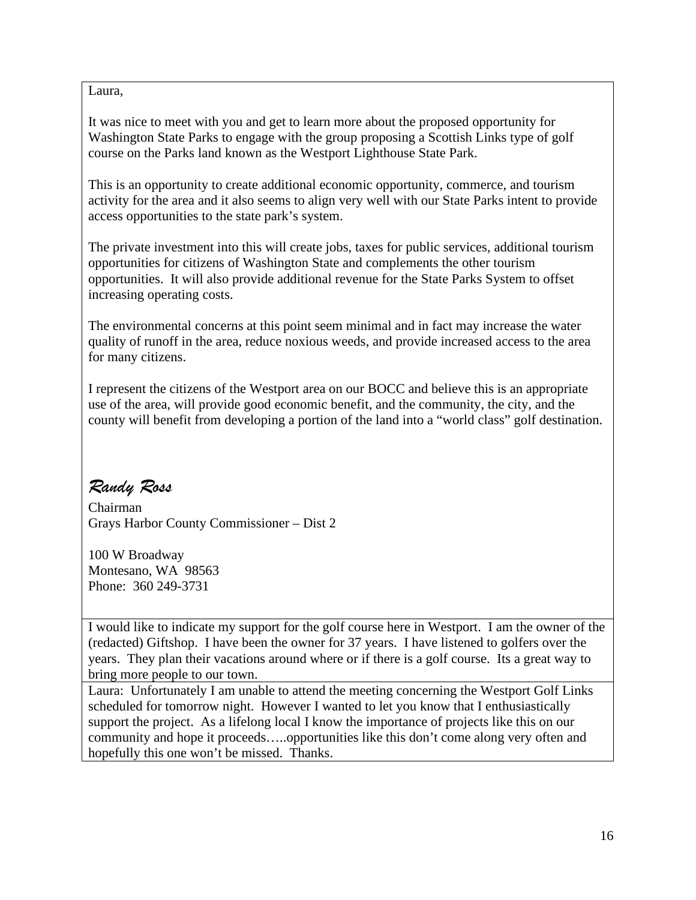Laura,

It was nice to meet with you and get to learn more about the proposed opportunity for Washington State Parks to engage with the group proposing a Scottish Links type of golf course on the Parks land known as the Westport Lighthouse State Park.

This is an opportunity to create additional economic opportunity, commerce, and tourism activity for the area and it also seems to align very well with our State Parks intent to provide access opportunities to the state park's system.

The private investment into this will create jobs, taxes for public services, additional tourism opportunities for citizens of Washington State and complements the other tourism opportunities. It will also provide additional revenue for the State Parks System to offset increasing operating costs.

The environmental concerns at this point seem minimal and in fact may increase the water quality of runoff in the area, reduce noxious weeds, and provide increased access to the area for many citizens.

I represent the citizens of the Westport area on our BOCC and believe this is an appropriate use of the area, will provide good economic benefit, and the community, the city, and the county will benefit from developing a portion of the land into a "world class" golf destination.

# *Randy Ross*

Chairman Grays Harbor County Commissioner – Dist 2

100 W Broadway Montesano, WA 98563 Phone: 360 249-3731

I would like to indicate my support for the golf course here in Westport. I am the owner of the (redacted) Giftshop. I have been the owner for 37 years. I have listened to golfers over the years. They plan their vacations around where or if there is a golf course. Its a great way to bring more people to our town.

Laura: Unfortunately I am unable to attend the meeting concerning the Westport Golf Links scheduled for tomorrow night. However I wanted to let you know that I enthusiastically support the project. As a lifelong local I know the importance of projects like this on our community and hope it proceeds…..opportunities like this don't come along very often and hopefully this one won't be missed. Thanks.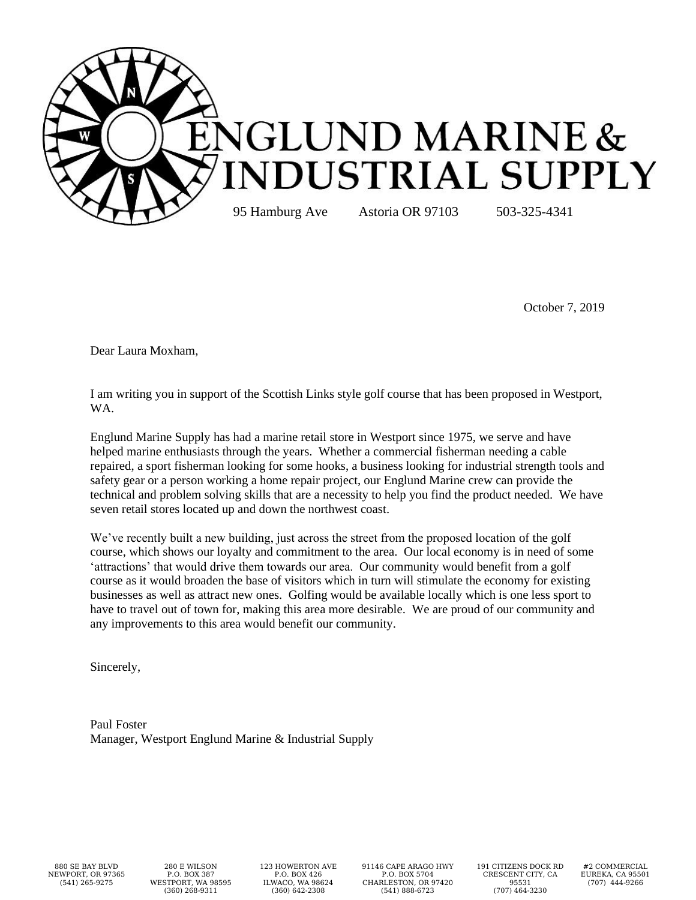

October 7, 2019

Dear Laura Moxham,

I am writing you in support of the Scottish Links style golf course that has been proposed in Westport, WA.

Englund Marine Supply has had a marine retail store in Westport since 1975, we serve and have helped marine enthusiasts through the years. Whether a commercial fisherman needing a cable repaired, a sport fisherman looking for some hooks, a business looking for industrial strength tools and safety gear or a person working a home repair project, our Englund Marine crew can provide the technical and problem solving skills that are a necessity to help you find the product needed. We have seven retail stores located up and down the northwest coast.

We've recently built a new building, just across the street from the proposed location of the golf course, which shows our loyalty and commitment to the area. Our local economy is in need of some 'attractions' that would drive them towards our area. Our community would benefit from a golf course as it would broaden the base of visitors which in turn will stimulate the economy for existing businesses as well as attract new ones. Golfing would be available locally which is one less sport to have to travel out of town for, making this area more desirable. We are proud of our community and any improvements to this area would benefit our community.

Sincerely,

Paul Foster Manager, Westport Englund Marine & Industrial Supply

880 SE BAY BLVD NEWPORT, OR 97365 (541) 265-9275

280 E WILSON P.O. BOX 387 WESTPORT, WA 98595 (360) 268-9311

123 HOWERTON AVE P.O. BOX 426 ILWACO, WA 98624 (360) 642-2308

91146 CAPE ARAGO HWY P.O. BOX 5704 CHARLESTON, OR 97420 (541) 888-6723

191 CITIZENS DOCK RD CRESCENT CITY, CA 95531 (707) 464-3230

#2 COMMERCIAL EUREKA, CA 95501 (707) 444-9266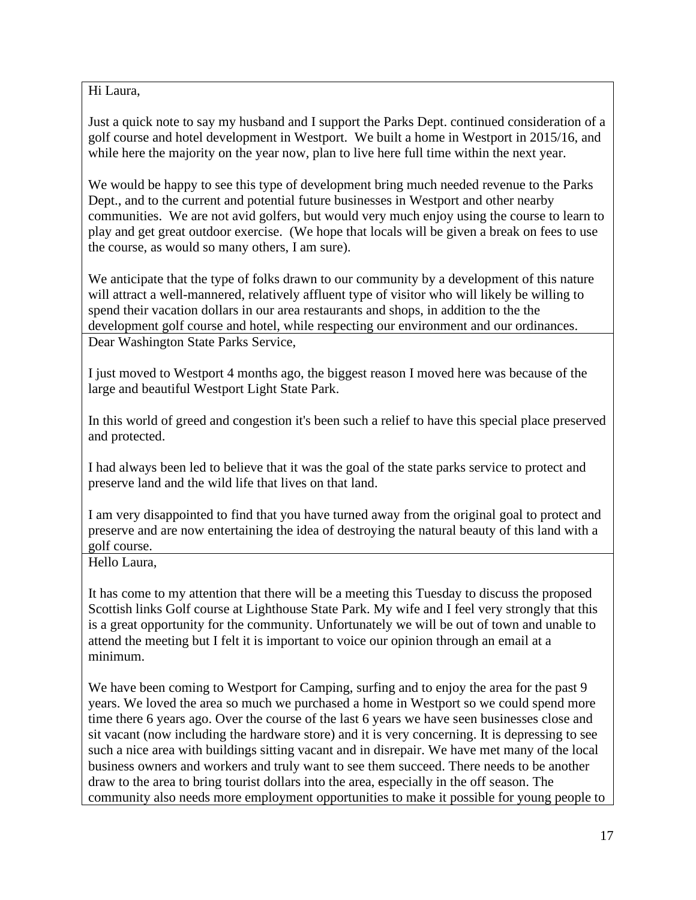Hi Laura,

Just a quick note to say my husband and I support the Parks Dept. continued consideration of a golf course and hotel development in Westport. We built a home in Westport in 2015/16, and while here the majority on the year now, plan to live here full time within the next year.

We would be happy to see this type of development bring much needed revenue to the Parks Dept., and to the current and potential future businesses in Westport and other nearby communities. We are not avid golfers, but would very much enjoy using the course to learn to play and get great outdoor exercise. (We hope that locals will be given a break on fees to use the course, as would so many others, I am sure).

We anticipate that the type of folks drawn to our community by a development of this nature will attract a well-mannered, relatively affluent type of visitor who will likely be willing to spend their vacation dollars in our area restaurants and shops, in addition to the the development golf course and hotel, while respecting our environment and our ordinances. Dear Washington State Parks Service,

I just moved to Westport 4 months ago, the biggest reason I moved here was because of the large and beautiful Westport Light State Park.

In this world of greed and congestion it's been such a relief to have this special place preserved and protected.

I had always been led to believe that it was the goal of the state parks service to protect and preserve land and the wild life that lives on that land.

I am very disappointed to find that you have turned away from the original goal to protect and preserve and are now entertaining the idea of destroying the natural beauty of this land with a golf course.

Hello Laura,

It has come to my attention that there will be a meeting this Tuesday to discuss the proposed Scottish links Golf course at Lighthouse State Park. My wife and I feel very strongly that this is a great opportunity for the community. Unfortunately we will be out of town and unable to attend the meeting but I felt it is important to voice our opinion through an email at a minimum.

We have been coming to Westport for Camping, surfing and to enjoy the area for the past 9 years. We loved the area so much we purchased a home in Westport so we could spend more time there 6 years ago. Over the course of the last 6 years we have seen businesses close and sit vacant (now including the hardware store) and it is very concerning. It is depressing to see such a nice area with buildings sitting vacant and in disrepair. We have met many of the local business owners and workers and truly want to see them succeed. There needs to be another draw to the area to bring tourist dollars into the area, especially in the off season. The community also needs more employment opportunities to make it possible for young people to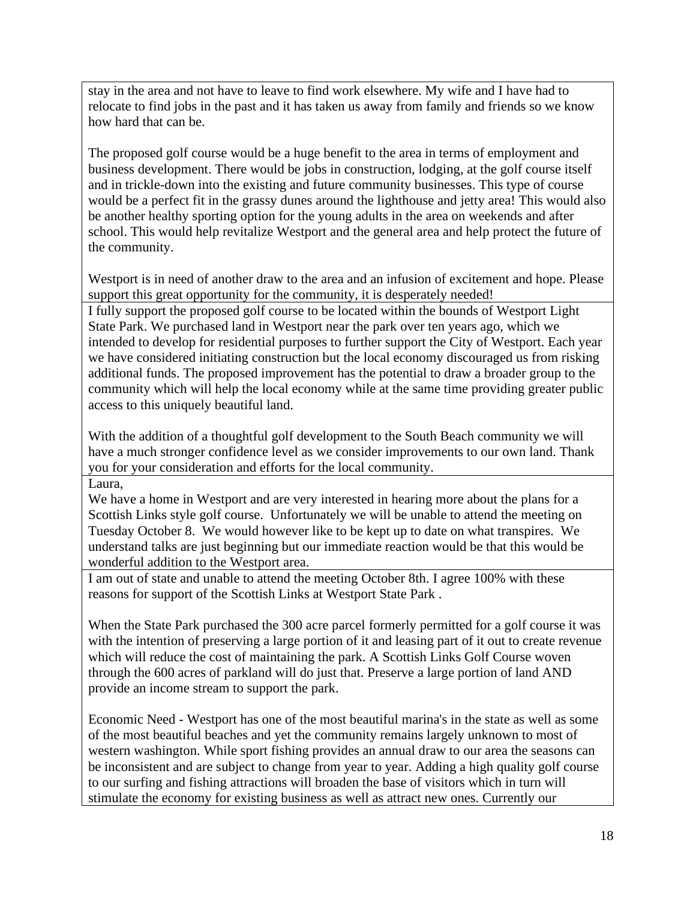stay in the area and not have to leave to find work elsewhere. My wife and I have had to relocate to find jobs in the past and it has taken us away from family and friends so we know how hard that can be.

The proposed golf course would be a huge benefit to the area in terms of employment and business development. There would be jobs in construction, lodging, at the golf course itself and in trickle-down into the existing and future community businesses. This type of course would be a perfect fit in the grassy dunes around the lighthouse and jetty area! This would also be another healthy sporting option for the young adults in the area on weekends and after school. This would help revitalize Westport and the general area and help protect the future of the community.

Westport is in need of another draw to the area and an infusion of excitement and hope. Please support this great opportunity for the community, it is desperately needed!

I fully support the proposed golf course to be located within the bounds of Westport Light State Park. We purchased land in Westport near the park over ten years ago, which we intended to develop for residential purposes to further support the City of Westport. Each year we have considered initiating construction but the local economy discouraged us from risking additional funds. The proposed improvement has the potential to draw a broader group to the community which will help the local economy while at the same time providing greater public access to this uniquely beautiful land.

With the addition of a thoughtful golf development to the South Beach community we will have a much stronger confidence level as we consider improvements to our own land. Thank you for your consideration and efforts for the local community.

Laura,

We have a home in Westport and are very interested in hearing more about the plans for a Scottish Links style golf course. Unfortunately we will be unable to attend the meeting on Tuesday October 8. We would however like to be kept up to date on what transpires. We understand talks are just beginning but our immediate reaction would be that this would be wonderful addition to the Westport area.

I am out of state and unable to attend the meeting October 8th. I agree 100% with these reasons for support of the Scottish Links at Westport State Park .

When the State Park purchased the 300 acre parcel formerly permitted for a golf course it was with the intention of preserving a large portion of it and leasing part of it out to create revenue which will reduce the cost of maintaining the park. A Scottish Links Golf Course woven through the 600 acres of parkland will do just that. Preserve a large portion of land AND provide an income stream to support the park.

Economic Need - Westport has one of the most beautiful marina's in the state as well as some of the most beautiful beaches and yet the community remains largely unknown to most of western washington. While sport fishing provides an annual draw to our area the seasons can be inconsistent and are subject to change from year to year. Adding a high quality golf course to our surfing and fishing attractions will broaden the base of visitors which in turn will stimulate the economy for existing business as well as attract new ones. Currently our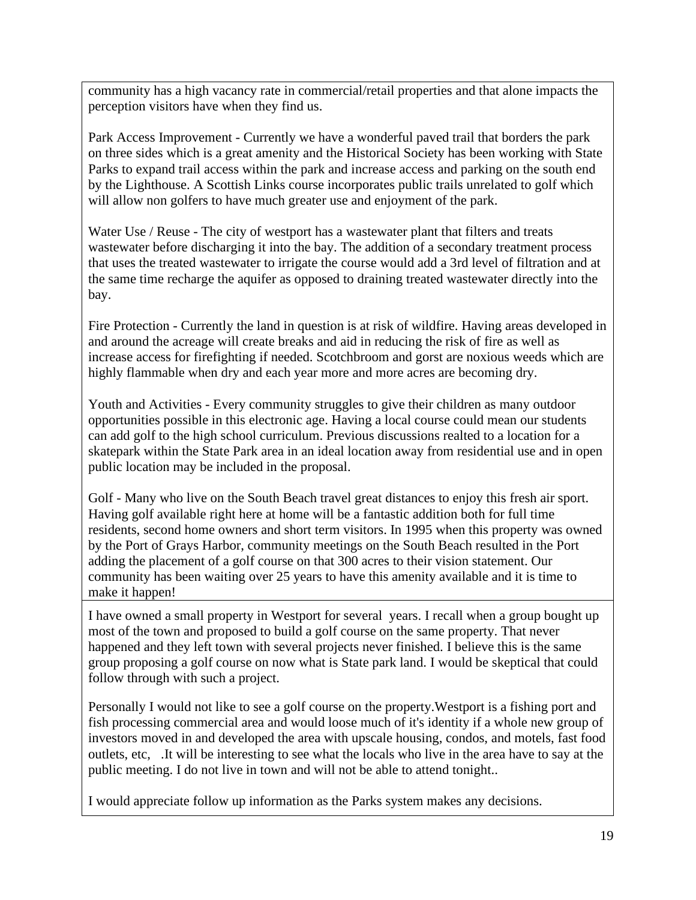community has a high vacancy rate in commercial/retail properties and that alone impacts the perception visitors have when they find us.

Park Access Improvement - Currently we have a wonderful paved trail that borders the park on three sides which is a great amenity and the Historical Society has been working with State Parks to expand trail access within the park and increase access and parking on the south end by the Lighthouse. A Scottish Links course incorporates public trails unrelated to golf which will allow non golfers to have much greater use and enjoyment of the park.

Water Use / Reuse - The city of westport has a wastewater plant that filters and treats wastewater before discharging it into the bay. The addition of a secondary treatment process that uses the treated wastewater to irrigate the course would add a 3rd level of filtration and at the same time recharge the aquifer as opposed to draining treated wastewater directly into the bay.

Fire Protection - Currently the land in question is at risk of wildfire. Having areas developed in and around the acreage will create breaks and aid in reducing the risk of fire as well as increase access for firefighting if needed. Scotchbroom and gorst are noxious weeds which are highly flammable when dry and each year more and more acres are becoming dry.

Youth and Activities - Every community struggles to give their children as many outdoor opportunities possible in this electronic age. Having a local course could mean our students can add golf to the high school curriculum. Previous discussions realted to a location for a skatepark within the State Park area in an ideal location away from residential use and in open public location may be included in the proposal.

Golf - Many who live on the South Beach travel great distances to enjoy this fresh air sport. Having golf available right here at home will be a fantastic addition both for full time residents, second home owners and short term visitors. In 1995 when this property was owned by the Port of Grays Harbor, community meetings on the South Beach resulted in the Port adding the placement of a golf course on that 300 acres to their vision statement. Our community has been waiting over 25 years to have this amenity available and it is time to make it happen!

I have owned a small property in Westport for several years. I recall when a group bought up most of the town and proposed to build a golf course on the same property. That never happened and they left town with several projects never finished. I believe this is the same group proposing a golf course on now what is State park land. I would be skeptical that could follow through with such a project.

Personally I would not like to see a golf course on the property.Westport is a fishing port and fish processing commercial area and would loose much of it's identity if a whole new group of investors moved in and developed the area with upscale housing, condos, and motels, fast food outlets, etc, .It will be interesting to see what the locals who live in the area have to say at the public meeting. I do not live in town and will not be able to attend tonight..

I would appreciate follow up information as the Parks system makes any decisions.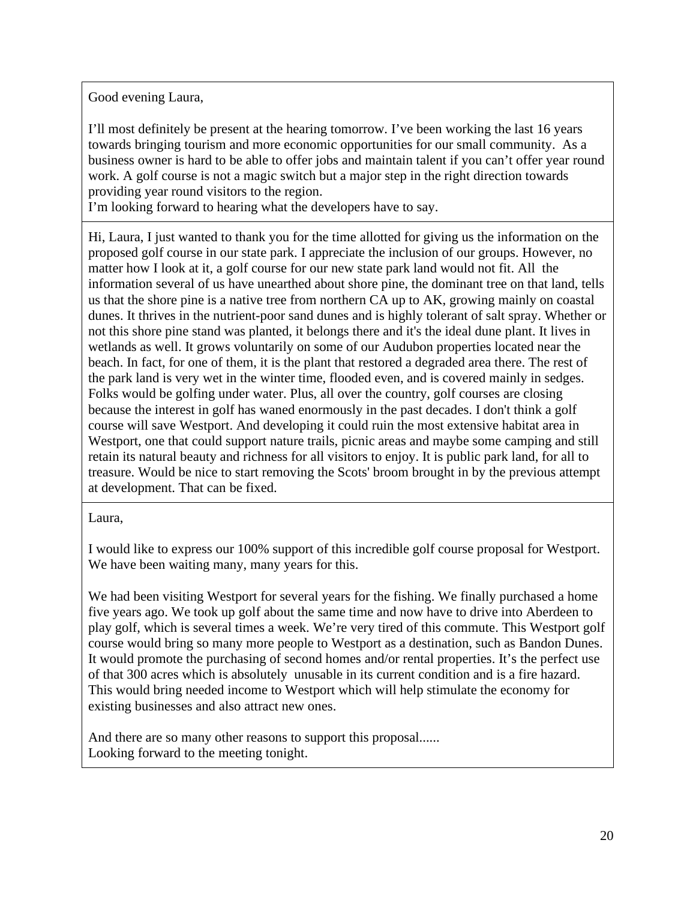Good evening Laura,

I'll most definitely be present at the hearing tomorrow. I've been working the last 16 years towards bringing tourism and more economic opportunities for our small community. As a business owner is hard to be able to offer jobs and maintain talent if you can't offer year round work. A golf course is not a magic switch but a major step in the right direction towards providing year round visitors to the region.

I'm looking forward to hearing what the developers have to say.

Hi, Laura, I just wanted to thank you for the time allotted for giving us the information on the proposed golf course in our state park. I appreciate the inclusion of our groups. However, no matter how I look at it, a golf course for our new state park land would not fit. All the information several of us have unearthed about shore pine, the dominant tree on that land, tells us that the shore pine is a native tree from northern CA up to AK, growing mainly on coastal dunes. It thrives in the nutrient-poor sand dunes and is highly tolerant of salt spray. Whether or not this shore pine stand was planted, it belongs there and it's the ideal dune plant. It lives in wetlands as well. It grows voluntarily on some of our Audubon properties located near the beach. In fact, for one of them, it is the plant that restored a degraded area there. The rest of the park land is very wet in the winter time, flooded even, and is covered mainly in sedges. Folks would be golfing under water. Plus, all over the country, golf courses are closing because the interest in golf has waned enormously in the past decades. I don't think a golf course will save Westport. And developing it could ruin the most extensive habitat area in Westport, one that could support nature trails, picnic areas and maybe some camping and still retain its natural beauty and richness for all visitors to enjoy. It is public park land, for all to treasure. Would be nice to start removing the Scots' broom brought in by the previous attempt at development. That can be fixed.

Laura,

I would like to express our 100% support of this incredible golf course proposal for Westport. We have been waiting many, many years for this.

We had been visiting Westport for several years for the fishing. We finally purchased a home five years ago. We took up golf about the same time and now have to drive into Aberdeen to play golf, which is several times a week. We're very tired of this commute. This Westport golf course would bring so many more people to Westport as a destination, such as Bandon Dunes. It would promote the purchasing of second homes and/or rental properties. It's the perfect use of that 300 acres which is absolutely unusable in its current condition and is a fire hazard. This would bring needed income to Westport which will help stimulate the economy for existing businesses and also attract new ones.

And there are so many other reasons to support this proposal...... Looking forward to the meeting tonight.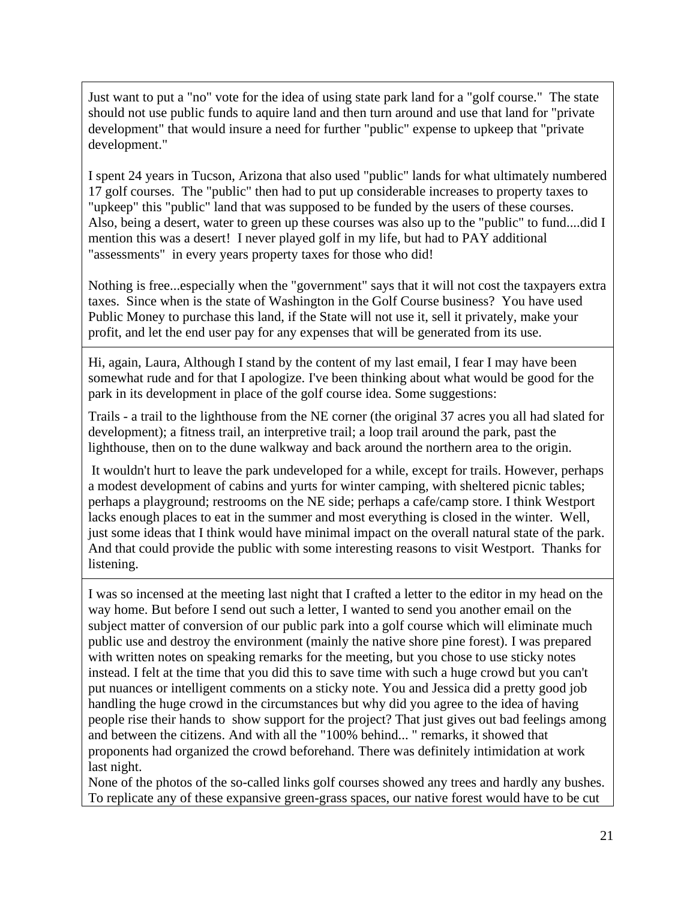Just want to put a "no" vote for the idea of using state park land for a "golf course." The state should not use public funds to aquire land and then turn around and use that land for "private development" that would insure a need for further "public" expense to upkeep that "private development."

I spent 24 years in Tucson, Arizona that also used "public" lands for what ultimately numbered 17 golf courses. The "public" then had to put up considerable increases to property taxes to "upkeep" this "public" land that was supposed to be funded by the users of these courses. Also, being a desert, water to green up these courses was also up to the "public" to fund....did I mention this was a desert! I never played golf in my life, but had to PAY additional "assessments" in every years property taxes for those who did!

Nothing is free...especially when the "government" says that it will not cost the taxpayers extra taxes. Since when is the state of Washington in the Golf Course business? You have used Public Money to purchase this land, if the State will not use it, sell it privately, make your profit, and let the end user pay for any expenses that will be generated from its use.

Hi, again, Laura, Although I stand by the content of my last email, I fear I may have been somewhat rude and for that I apologize. I've been thinking about what would be good for the park in its development in place of the golf course idea. Some suggestions:

Trails - a trail to the lighthouse from the NE corner (the original 37 acres you all had slated for development); a fitness trail, an interpretive trail; a loop trail around the park, past the lighthouse, then on to the dune walkway and back around the northern area to the origin.

It wouldn't hurt to leave the park undeveloped for a while, except for trails. However, perhaps a modest development of cabins and yurts for winter camping, with sheltered picnic tables; perhaps a playground; restrooms on the NE side; perhaps a cafe/camp store. I think Westport lacks enough places to eat in the summer and most everything is closed in the winter. Well, just some ideas that I think would have minimal impact on the overall natural state of the park. And that could provide the public with some interesting reasons to visit Westport. Thanks for listening.

I was so incensed at the meeting last night that I crafted a letter to the editor in my head on the way home. But before I send out such a letter, I wanted to send you another email on the subject matter of conversion of our public park into a golf course which will eliminate much public use and destroy the environment (mainly the native shore pine forest). I was prepared with written notes on speaking remarks for the meeting, but you chose to use sticky notes instead. I felt at the time that you did this to save time with such a huge crowd but you can't put nuances or intelligent comments on a sticky note. You and Jessica did a pretty good job handling the huge crowd in the circumstances but why did you agree to the idea of having people rise their hands to show support for the project? That just gives out bad feelings among and between the citizens. And with all the "100% behind... " remarks, it showed that proponents had organized the crowd beforehand. There was definitely intimidation at work last night.

None of the photos of the so-called links golf courses showed any trees and hardly any bushes. To replicate any of these expansive green-grass spaces, our native forest would have to be cut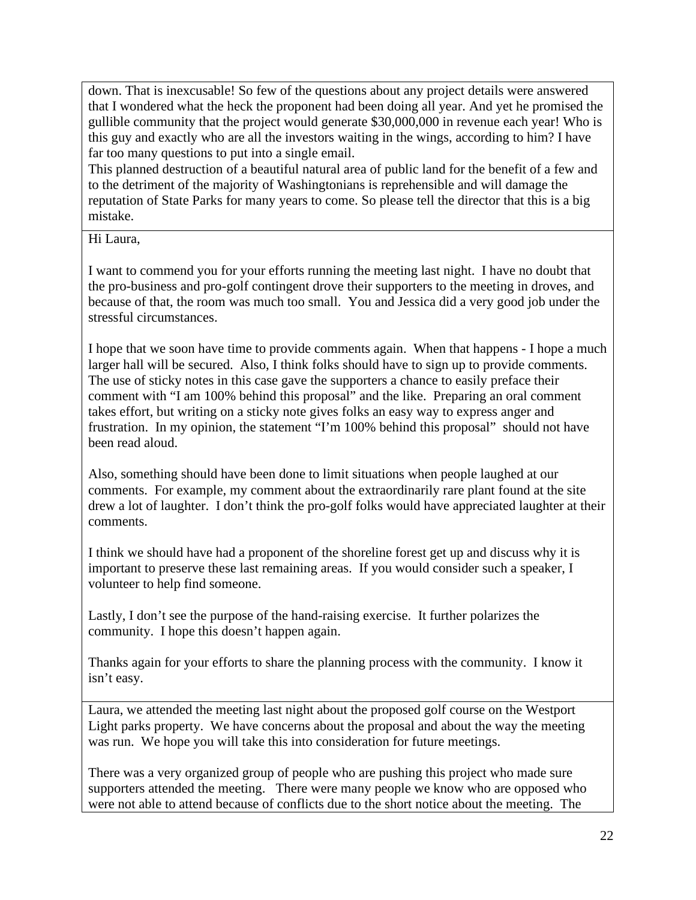down. That is inexcusable! So few of the questions about any project details were answered that I wondered what the heck the proponent had been doing all year. And yet he promised the gullible community that the project would generate \$30,000,000 in revenue each year! Who is this guy and exactly who are all the investors waiting in the wings, according to him? I have far too many questions to put into a single email.

This planned destruction of a beautiful natural area of public land for the benefit of a few and to the detriment of the majority of Washingtonians is reprehensible and will damage the reputation of State Parks for many years to come. So please tell the director that this is a big mistake.

Hi Laura,

I want to commend you for your efforts running the meeting last night. I have no doubt that the pro-business and pro-golf contingent drove their supporters to the meeting in droves, and because of that, the room was much too small. You and Jessica did a very good job under the stressful circumstances.

I hope that we soon have time to provide comments again. When that happens - I hope a much larger hall will be secured. Also, I think folks should have to sign up to provide comments. The use of sticky notes in this case gave the supporters a chance to easily preface their comment with "I am 100% behind this proposal" and the like. Preparing an oral comment takes effort, but writing on a sticky note gives folks an easy way to express anger and frustration. In my opinion, the statement "I'm 100% behind this proposal" should not have been read aloud.

Also, something should have been done to limit situations when people laughed at our comments. For example, my comment about the extraordinarily rare plant found at the site drew a lot of laughter. I don't think the pro-golf folks would have appreciated laughter at their comments.

I think we should have had a proponent of the shoreline forest get up and discuss why it is important to preserve these last remaining areas. If you would consider such a speaker, I volunteer to help find someone.

Lastly, I don't see the purpose of the hand-raising exercise. It further polarizes the community. I hope this doesn't happen again.

Thanks again for your efforts to share the planning process with the community. I know it isn't easy.

Laura, we attended the meeting last night about the proposed golf course on the Westport Light parks property. We have concerns about the proposal and about the way the meeting was run. We hope you will take this into consideration for future meetings.

There was a very organized group of people who are pushing this project who made sure supporters attended the meeting. There were many people we know who are opposed who were not able to attend because of conflicts due to the short notice about the meeting. The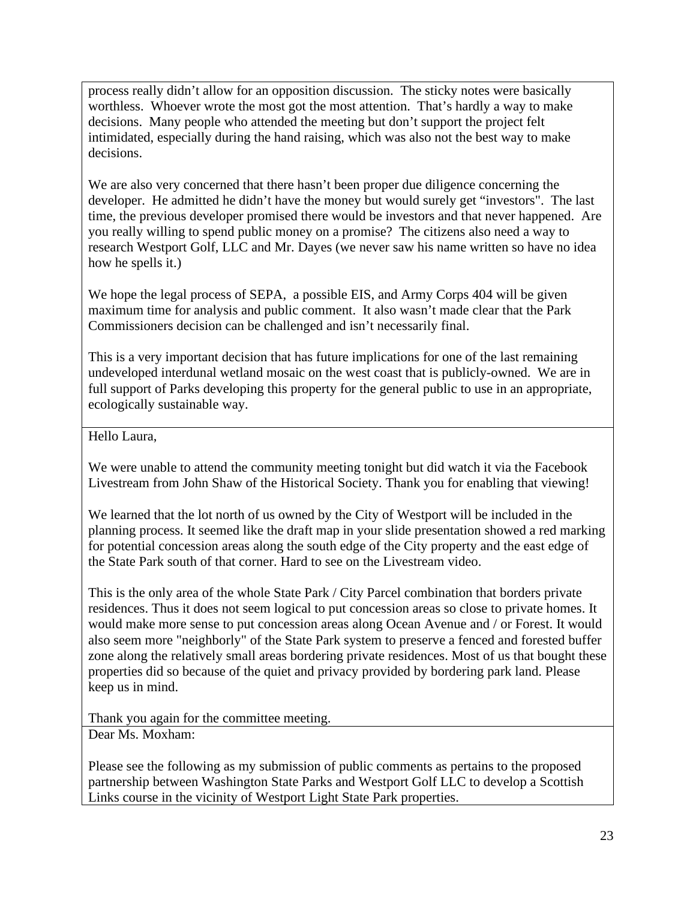process really didn't allow for an opposition discussion. The sticky notes were basically worthless. Whoever wrote the most got the most attention. That's hardly a way to make decisions. Many people who attended the meeting but don't support the project felt intimidated, especially during the hand raising, which was also not the best way to make decisions.

We are also very concerned that there hasn't been proper due diligence concerning the developer. He admitted he didn't have the money but would surely get "investors". The last time, the previous developer promised there would be investors and that never happened. Are you really willing to spend public money on a promise? The citizens also need a way to research Westport Golf, LLC and Mr. Dayes (we never saw his name written so have no idea how he spells it.)

We hope the legal process of SEPA, a possible EIS, and Army Corps 404 will be given maximum time for analysis and public comment. It also wasn't made clear that the Park Commissioners decision can be challenged and isn't necessarily final.

This is a very important decision that has future implications for one of the last remaining undeveloped interdunal wetland mosaic on the west coast that is publicly-owned. We are in full support of Parks developing this property for the general public to use in an appropriate, ecologically sustainable way.

Hello Laura,

We were unable to attend the community meeting tonight but did watch it via the Facebook Livestream from John Shaw of the Historical Society. Thank you for enabling that viewing!

We learned that the lot north of us owned by the City of Westport will be included in the planning process. It seemed like the draft map in your slide presentation showed a red marking for potential concession areas along the south edge of the City property and the east edge of the State Park south of that corner. Hard to see on the Livestream video.

This is the only area of the whole State Park / City Parcel combination that borders private residences. Thus it does not seem logical to put concession areas so close to private homes. It would make more sense to put concession areas along Ocean Avenue and / or Forest. It would also seem more "neighborly" of the State Park system to preserve a fenced and forested buffer zone along the relatively small areas bordering private residences. Most of us that bought these properties did so because of the quiet and privacy provided by bordering park land. Please keep us in mind.

Thank you again for the committee meeting.

Dear Ms. Moxham:

Please see the following as my submission of public comments as pertains to the proposed partnership between Washington State Parks and Westport Golf LLC to develop a Scottish Links course in the vicinity of Westport Light State Park properties.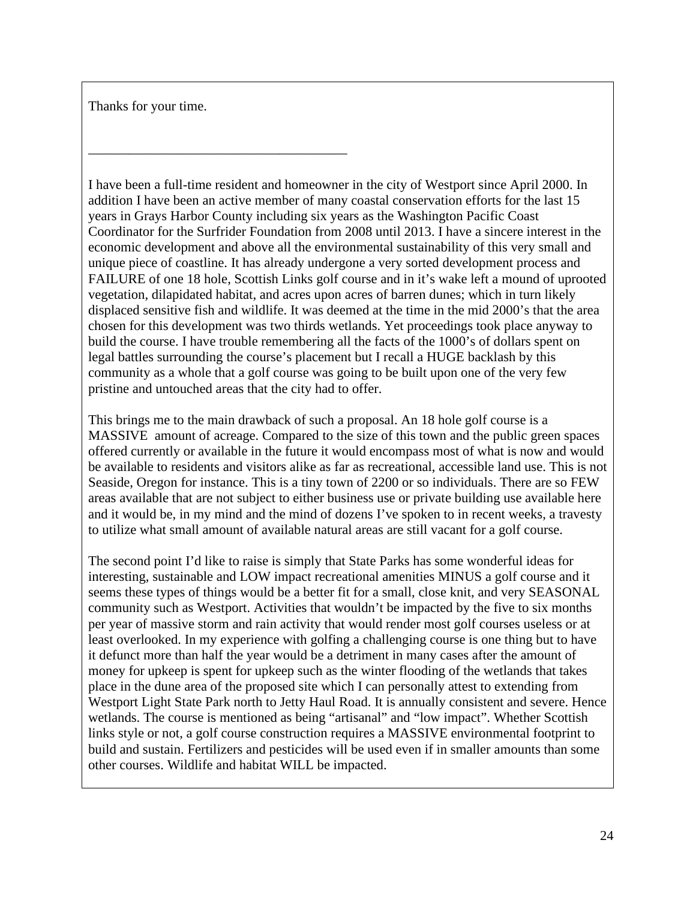Thanks for your time.

———————————————————

I have been a full-time resident and homeowner in the city of Westport since April 2000. In addition I have been an active member of many coastal conservation efforts for the last 15 years in Grays Harbor County including six years as the Washington Pacific Coast Coordinator for the Surfrider Foundation from 2008 until 2013. I have a sincere interest in the economic development and above all the environmental sustainability of this very small and unique piece of coastline. It has already undergone a very sorted development process and FAILURE of one 18 hole, Scottish Links golf course and in it's wake left a mound of uprooted vegetation, dilapidated habitat, and acres upon acres of barren dunes; which in turn likely displaced sensitive fish and wildlife. It was deemed at the time in the mid 2000's that the area chosen for this development was two thirds wetlands. Yet proceedings took place anyway to build the course. I have trouble remembering all the facts of the 1000's of dollars spent on legal battles surrounding the course's placement but I recall a HUGE backlash by this community as a whole that a golf course was going to be built upon one of the very few pristine and untouched areas that the city had to offer.

This brings me to the main drawback of such a proposal. An 18 hole golf course is a MASSIVE amount of acreage. Compared to the size of this town and the public green spaces offered currently or available in the future it would encompass most of what is now and would be available to residents and visitors alike as far as recreational, accessible land use. This is not Seaside, Oregon for instance. This is a tiny town of 2200 or so individuals. There are so FEW areas available that are not subject to either business use or private building use available here and it would be, in my mind and the mind of dozens I've spoken to in recent weeks, a travesty to utilize what small amount of available natural areas are still vacant for a golf course.

The second point I'd like to raise is simply that State Parks has some wonderful ideas for interesting, sustainable and LOW impact recreational amenities MINUS a golf course and it seems these types of things would be a better fit for a small, close knit, and very SEASONAL community such as Westport. Activities that wouldn't be impacted by the five to six months per year of massive storm and rain activity that would render most golf courses useless or at least overlooked. In my experience with golfing a challenging course is one thing but to have it defunct more than half the year would be a detriment in many cases after the amount of money for upkeep is spent for upkeep such as the winter flooding of the wetlands that takes place in the dune area of the proposed site which I can personally attest to extending from Westport Light State Park north to Jetty Haul Road. It is annually consistent and severe. Hence wetlands. The course is mentioned as being "artisanal" and "low impact". Whether Scottish links style or not, a golf course construction requires a MASSIVE environmental footprint to build and sustain. Fertilizers and pesticides will be used even if in smaller amounts than some other courses. Wildlife and habitat WILL be impacted.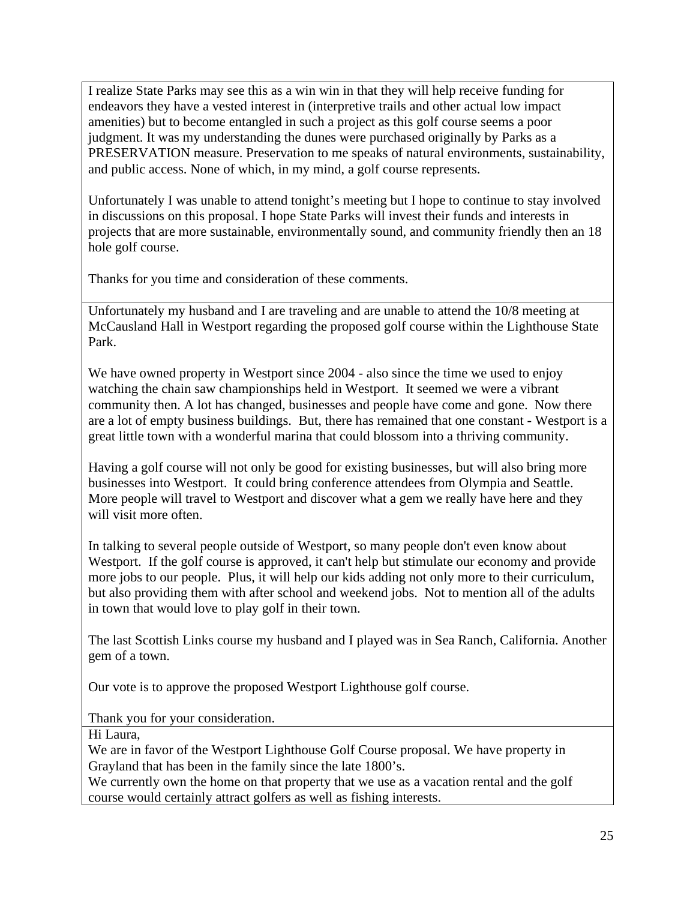I realize State Parks may see this as a win win in that they will help receive funding for endeavors they have a vested interest in (interpretive trails and other actual low impact amenities) but to become entangled in such a project as this golf course seems a poor judgment. It was my understanding the dunes were purchased originally by Parks as a PRESERVATION measure. Preservation to me speaks of natural environments, sustainability, and public access. None of which, in my mind, a golf course represents.

Unfortunately I was unable to attend tonight's meeting but I hope to continue to stay involved in discussions on this proposal. I hope State Parks will invest their funds and interests in projects that are more sustainable, environmentally sound, and community friendly then an 18 hole golf course.

Thanks for you time and consideration of these comments.

Unfortunately my husband and I are traveling and are unable to attend the 10/8 meeting at McCausland Hall in Westport regarding the proposed golf course within the Lighthouse State Park.

We have owned property in Westport since 2004 - also since the time we used to enjoy watching the chain saw championships held in Westport. It seemed we were a vibrant community then. A lot has changed, businesses and people have come and gone. Now there are a lot of empty business buildings. But, there has remained that one constant - Westport is a great little town with a wonderful marina that could blossom into a thriving community.

Having a golf course will not only be good for existing businesses, but will also bring more businesses into Westport. It could bring conference attendees from Olympia and Seattle. More people will travel to Westport and discover what a gem we really have here and they will visit more often.

In talking to several people outside of Westport, so many people don't even know about Westport. If the golf course is approved, it can't help but stimulate our economy and provide more jobs to our people. Plus, it will help our kids adding not only more to their curriculum, but also providing them with after school and weekend jobs. Not to mention all of the adults in town that would love to play golf in their town.

The last Scottish Links course my husband and I played was in Sea Ranch, California. Another gem of a town.

Our vote is to approve the proposed Westport Lighthouse golf course.

Thank you for your consideration.

Hi Laura,

We are in favor of the Westport Lighthouse Golf Course proposal. We have property in Grayland that has been in the family since the late 1800's.

We currently own the home on that property that we use as a vacation rental and the golf course would certainly attract golfers as well as fishing interests.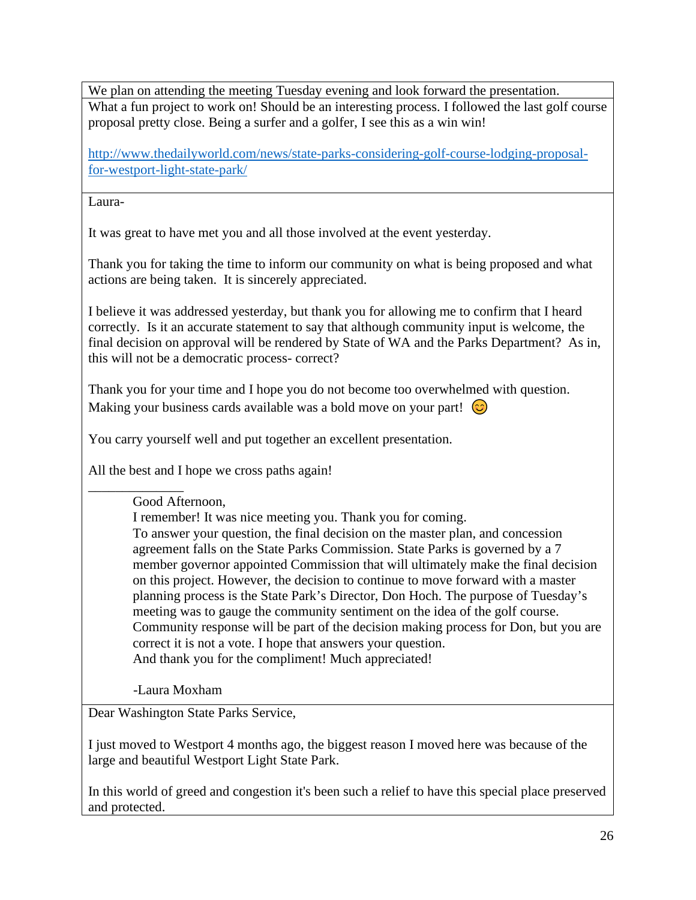We plan on attending the meeting Tuesday evening and look forward the presentation. What a fun project to work on! Should be an interesting process. I followed the last golf course proposal pretty close. Being a surfer and a golfer, I see this as a win win!

[http://www.thedailyworld.com/news/state-parks-considering-golf-course-lodging-proposal](http://www.thedailyworld.com/news/state-parks-considering-golf-course-lodging-proposal-for-westport-light-state-park/)[for-westport-light-state-park/](http://www.thedailyworld.com/news/state-parks-considering-golf-course-lodging-proposal-for-westport-light-state-park/)

Laura-

It was great to have met you and all those involved at the event yesterday.

Thank you for taking the time to inform our community on what is being proposed and what actions are being taken. It is sincerely appreciated.

I believe it was addressed yesterday, but thank you for allowing me to confirm that I heard correctly. Is it an accurate statement to say that although community input is welcome, the final decision on approval will be rendered by State of WA and the Parks Department? As in, this will not be a democratic process- correct?

Thank you for your time and I hope you do not become too overwhelmed with question. Making your business cards available was a bold move on your part!  $\odot$ 

You carry yourself well and put together an excellent presentation.

All the best and I hope we cross paths again!

#### \_\_\_\_\_\_\_\_\_\_\_\_\_\_ Good Afternoon,

I remember! It was nice meeting you. Thank you for coming. To answer your question, the final decision on the master plan, and concession agreement falls on the State Parks Commission. State Parks is governed by a 7 member governor appointed Commission that will ultimately make the final decision on this project. However, the decision to continue to move forward with a master planning process is the State Park's Director, Don Hoch. The purpose of Tuesday's meeting was to gauge the community sentiment on the idea of the golf course. Community response will be part of the decision making process for Don, but you are correct it is not a vote. I hope that answers your question. And thank you for the compliment! Much appreciated!

-Laura Moxham

Dear Washington State Parks Service,

I just moved to Westport 4 months ago, the biggest reason I moved here was because of the large and beautiful Westport Light State Park.

In this world of greed and congestion it's been such a relief to have this special place preserved and protected.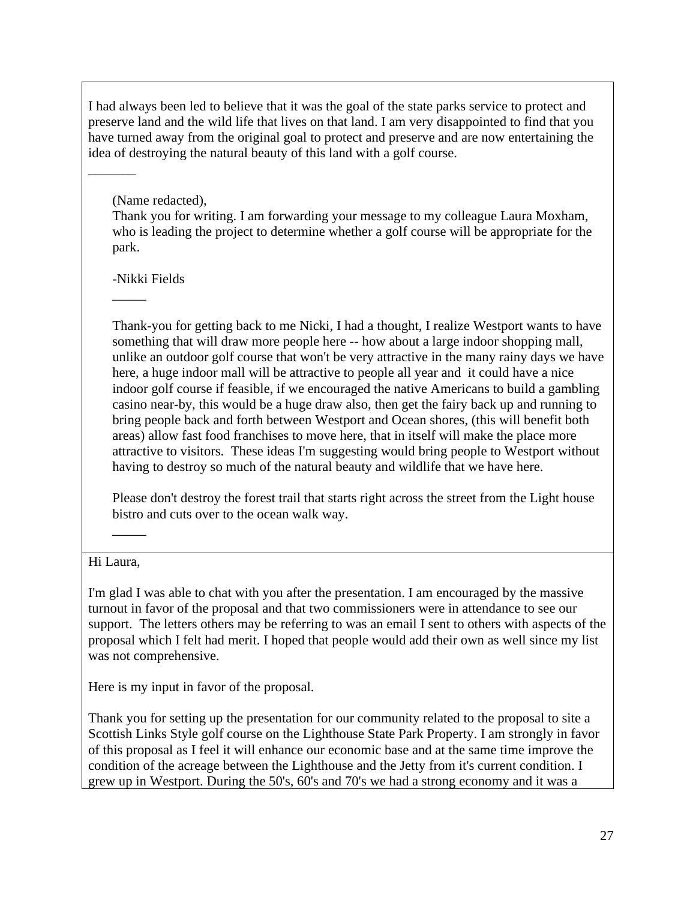I had always been led to believe that it was the goal of the state parks service to protect and preserve land and the wild life that lives on that land. I am very disappointed to find that you have turned away from the original goal to protect and preserve and are now entertaining the idea of destroying the natural beauty of this land with a golf course.

# (Name redacted),

 $\overline{\phantom{a}}$ 

Thank you for writing. I am forwarding your message to my colleague Laura Moxham, who is leading the project to determine whether a golf course will be appropriate for the park.

-Nikki Fields

 $\overline{\phantom{a}}$ 

Thank-you for getting back to me Nicki, I had a thought, I realize Westport wants to have something that will draw more people here -- how about a large indoor shopping mall, unlike an outdoor golf course that won't be very attractive in the many rainy days we have here, a huge indoor mall will be attractive to people all year and it could have a nice indoor golf course if feasible, if we encouraged the native Americans to build a gambling casino near-by, this would be a huge draw also, then get the fairy back up and running to bring people back and forth between Westport and Ocean shores, (this will benefit both areas) allow fast food franchises to move here, that in itself will make the place more attractive to visitors. These ideas I'm suggesting would bring people to Westport without having to destroy so much of the natural beauty and wildlife that we have here.

Please don't destroy the forest trail that starts right across the street from the Light house bistro and cuts over to the ocean walk way.

# Hi Laura,

 $\overline{\phantom{a}}$ 

I'm glad I was able to chat with you after the presentation. I am encouraged by the massive turnout in favor of the proposal and that two commissioners were in attendance to see our support. The letters others may be referring to was an email I sent to others with aspects of the proposal which I felt had merit. I hoped that people would add their own as well since my list was not comprehensive.

Here is my input in favor of the proposal.

Thank you for setting up the presentation for our community related to the proposal to site a Scottish Links Style golf course on the Lighthouse State Park Property. I am strongly in favor of this proposal as I feel it will enhance our economic base and at the same time improve the condition of the acreage between the Lighthouse and the Jetty from it's current condition. I grew up in Westport. During the 50's, 60's and 70's we had a strong economy and it was a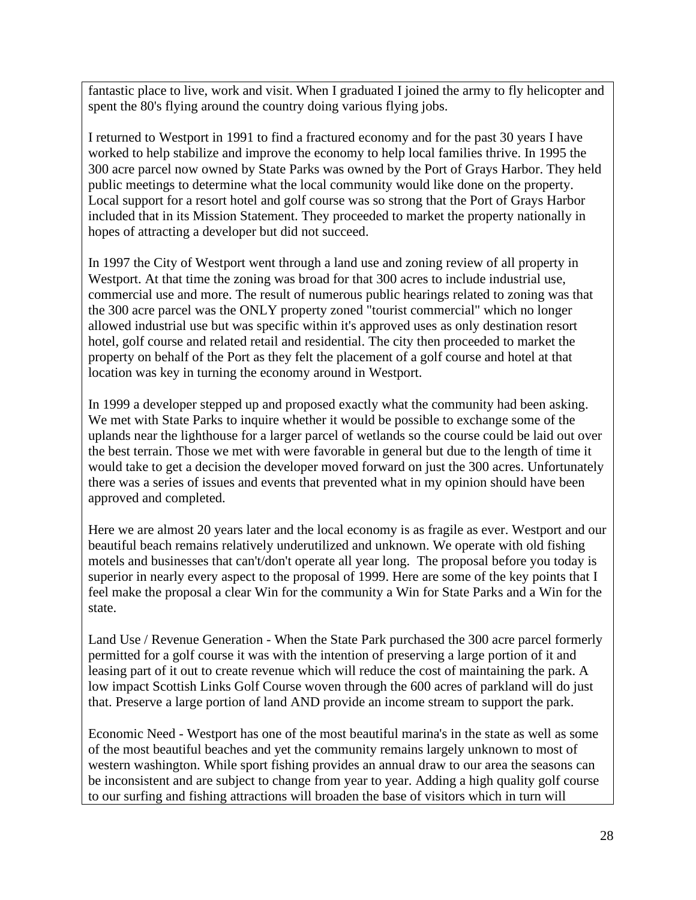fantastic place to live, work and visit. When I graduated I joined the army to fly helicopter and spent the 80's flying around the country doing various flying jobs.

I returned to Westport in 1991 to find a fractured economy and for the past 30 years I have worked to help stabilize and improve the economy to help local families thrive. In 1995 the 300 acre parcel now owned by State Parks was owned by the Port of Grays Harbor. They held public meetings to determine what the local community would like done on the property. Local support for a resort hotel and golf course was so strong that the Port of Grays Harbor included that in its Mission Statement. They proceeded to market the property nationally in hopes of attracting a developer but did not succeed.

In 1997 the City of Westport went through a land use and zoning review of all property in Westport. At that time the zoning was broad for that 300 acres to include industrial use, commercial use and more. The result of numerous public hearings related to zoning was that the 300 acre parcel was the ONLY property zoned "tourist commercial" which no longer allowed industrial use but was specific within it's approved uses as only destination resort hotel, golf course and related retail and residential. The city then proceeded to market the property on behalf of the Port as they felt the placement of a golf course and hotel at that location was key in turning the economy around in Westport.

In 1999 a developer stepped up and proposed exactly what the community had been asking. We met with State Parks to inquire whether it would be possible to exchange some of the uplands near the lighthouse for a larger parcel of wetlands so the course could be laid out over the best terrain. Those we met with were favorable in general but due to the length of time it would take to get a decision the developer moved forward on just the 300 acres. Unfortunately there was a series of issues and events that prevented what in my opinion should have been approved and completed.

Here we are almost 20 years later and the local economy is as fragile as ever. Westport and our beautiful beach remains relatively underutilized and unknown. We operate with old fishing motels and businesses that can't/don't operate all year long. The proposal before you today is superior in nearly every aspect to the proposal of 1999. Here are some of the key points that I feel make the proposal a clear Win for the community a Win for State Parks and a Win for the state.

Land Use / Revenue Generation - When the State Park purchased the 300 acre parcel formerly permitted for a golf course it was with the intention of preserving a large portion of it and leasing part of it out to create revenue which will reduce the cost of maintaining the park. A low impact Scottish Links Golf Course woven through the 600 acres of parkland will do just that. Preserve a large portion of land AND provide an income stream to support the park.

Economic Need - Westport has one of the most beautiful marina's in the state as well as some of the most beautiful beaches and yet the community remains largely unknown to most of western washington. While sport fishing provides an annual draw to our area the seasons can be inconsistent and are subject to change from year to year. Adding a high quality golf course to our surfing and fishing attractions will broaden the base of visitors which in turn will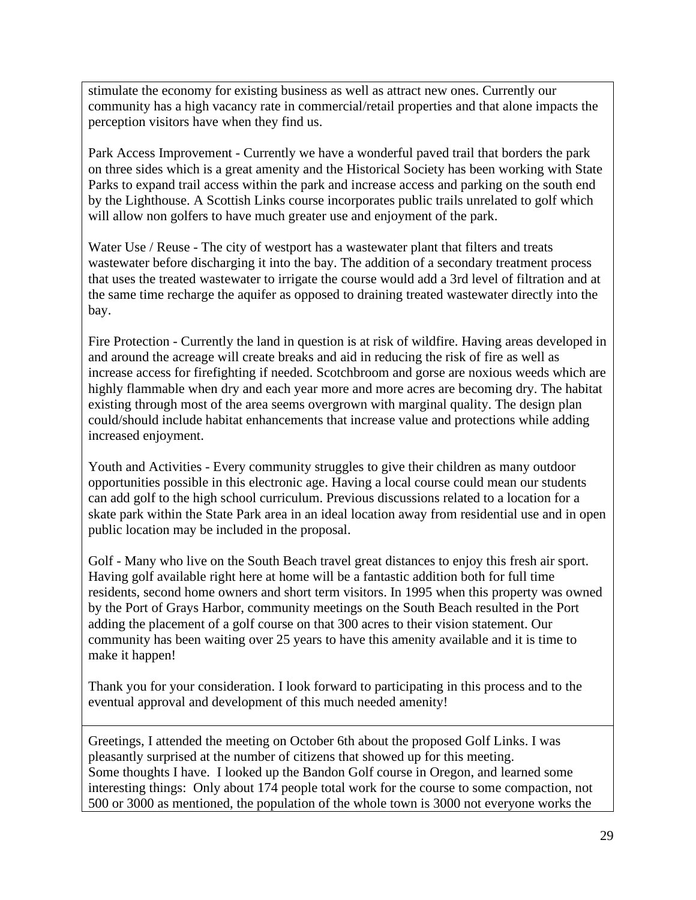stimulate the economy for existing business as well as attract new ones. Currently our community has a high vacancy rate in commercial/retail properties and that alone impacts the perception visitors have when they find us.

Park Access Improvement - Currently we have a wonderful paved trail that borders the park on three sides which is a great amenity and the Historical Society has been working with State Parks to expand trail access within the park and increase access and parking on the south end by the Lighthouse. A Scottish Links course incorporates public trails unrelated to golf which will allow non golfers to have much greater use and enjoyment of the park.

Water Use / Reuse - The city of westport has a wastewater plant that filters and treats wastewater before discharging it into the bay. The addition of a secondary treatment process that uses the treated wastewater to irrigate the course would add a 3rd level of filtration and at the same time recharge the aquifer as opposed to draining treated wastewater directly into the bay.

Fire Protection - Currently the land in question is at risk of wildfire. Having areas developed in and around the acreage will create breaks and aid in reducing the risk of fire as well as increase access for firefighting if needed. Scotchbroom and gorse are noxious weeds which are highly flammable when dry and each year more and more acres are becoming dry. The habitat existing through most of the area seems overgrown with marginal quality. The design plan could/should include habitat enhancements that increase value and protections while adding increased enjoyment.

Youth and Activities - Every community struggles to give their children as many outdoor opportunities possible in this electronic age. Having a local course could mean our students can add golf to the high school curriculum. Previous discussions related to a location for a skate park within the State Park area in an ideal location away from residential use and in open public location may be included in the proposal.

Golf - Many who live on the South Beach travel great distances to enjoy this fresh air sport. Having golf available right here at home will be a fantastic addition both for full time residents, second home owners and short term visitors. In 1995 when this property was owned by the Port of Grays Harbor, community meetings on the South Beach resulted in the Port adding the placement of a golf course on that 300 acres to their vision statement. Our community has been waiting over 25 years to have this amenity available and it is time to make it happen!

Thank you for your consideration. I look forward to participating in this process and to the eventual approval and development of this much needed amenity!

Greetings, I attended the meeting on October 6th about the proposed Golf Links. I was pleasantly surprised at the number of citizens that showed up for this meeting. Some thoughts I have. I looked up the Bandon Golf course in Oregon, and learned some interesting things: Only about 174 people total work for the course to some compaction, not 500 or 3000 as mentioned, the population of the whole town is 3000 not everyone works the